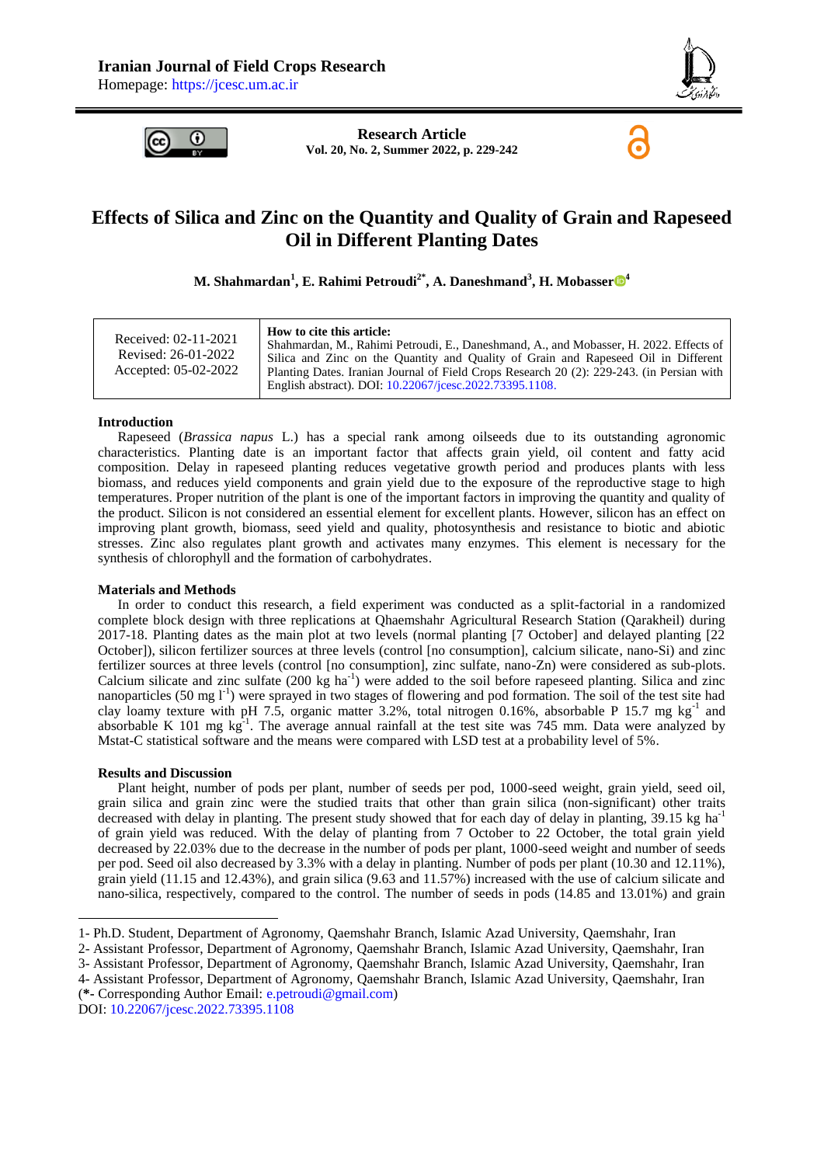

6



**Research Article Vol. 20, No. 2, Summer 2022, p. 229-242**

# **Effects of Silica and Zinc on the Quantity and Quality of Grain and Rapeseed Oil in Different Planting Dates**

**M. Shahmardan<sup>1</sup> , E. Rahimi Petroudi2\*, A. Daneshmand<sup>3</sup> , H. Mobasser [4](https://orcid.org/0000-0002-6724-3045)**

### **Introduction**

Rapeseed (*Brassica napus* L.) has a special rank among oilseeds due to its outstanding agronomic characteristics. Planting date is an important factor that affects grain yield, oil content and fatty acid composition. Delay in rapeseed planting reduces vegetative growth period and produces plants with less biomass, and reduces yield components and grain yield due to the exposure of the reproductive stage to high temperatures. Proper nutrition of the plant is one of the important factors in improving the quantity and quality of the product. Silicon is not considered an essential element for excellent plants. However, silicon has an effect on improving plant growth, biomass, seed yield and quality, photosynthesis and resistance to biotic and abiotic stresses. Zinc also regulates plant growth and activates many enzymes. This element is necessary for the synthesis of chlorophyll and the formation of carbohydrates.

### **Materials and Methods**

In order to conduct this research, a field experiment was conducted as a split-factorial in a randomized complete block design with three replications at Qhaemshahr Agricultural Research Station (Qarakheil) during 2017-18. Planting dates as the main plot at two levels (normal planting [7 October] and delayed planting [22 October]), silicon fertilizer sources at three levels (control [no consumption], calcium silicate, nano-Si) and zinc fertilizer sources at three levels (control [no consumption], zinc sulfate, nano-Zn) were considered as sub-plots. Calcium silicate and zinc sulfate (200 kg ha<sup>-1</sup>) were added to the soil before rapeseed planting. Silica and zinc nanoparticles (50 mg l<sup>-1</sup>) were sprayed in two stages of flowering and pod formation. The soil of the test site had clay loamy texture with pH 7.5, organic matter 3.2%, total nitrogen 0.16%, absorbable P 15.7 mg kg<sup>-1</sup> and absorbable K 101 mg  $kg<sup>1</sup>$ . The average annual rainfall at the test site was 745 mm. Data were analyzed by Mstat-C statistical software and the means were compared with LSD test at a probability level of 5%.

### **Results and Discussion**

**.** 

Plant height, number of pods per plant, number of seeds per pod, 1000-seed weight, grain yield, seed oil, grain silica and grain zinc were the studied traits that other than grain silica (non-significant) other traits decreased with delay in planting. The present study showed that for each day of delay in planting, 39.15 kg ha<sup>-1</sup> of grain yield was reduced. With the delay of planting from 7 October to 22 October, the total grain yield decreased by 22.03% due to the decrease in the number of pods per plant, 1000-seed weight and number of seeds per pod. Seed oil also decreased by 3.3% with a delay in planting. Number of pods per plant (10.30 and 12.11%), grain yield (11.15 and 12.43%), and grain silica (9.63 and 11.57%) increased with the use of calcium silicate and nano-silica, respectively, compared to the control. The number of seeds in pods (14.85 and 13.01%) and grain

4- Assistant Professor, Department of Agronomy, Qaemshahr Branch, Islamic Azad University, Qaemshahr, Iran

(**\*-** Corresponding Author Email: [e.petroudi@gmail.com\)](mailto:e.petroudi@gmail.com)

DOI: [10.22067/jcesc.2022.73395.1108](https://dx.doi.org/10.22067/jcesc.2022.73395.1108)

<sup>1-</sup> Ph.D. Student, Department of Agronomy, Qaemshahr Branch, Islamic Azad University, Qaemshahr, Iran

<sup>2-</sup> Assistant Professor, Department of Agronomy, Qaemshahr Branch, Islamic Azad University, Qaemshahr, Iran

<sup>3-</sup> Assistant Professor, Department of Agronomy, Qaemshahr Branch, Islamic Azad University, Qaemshahr, Iran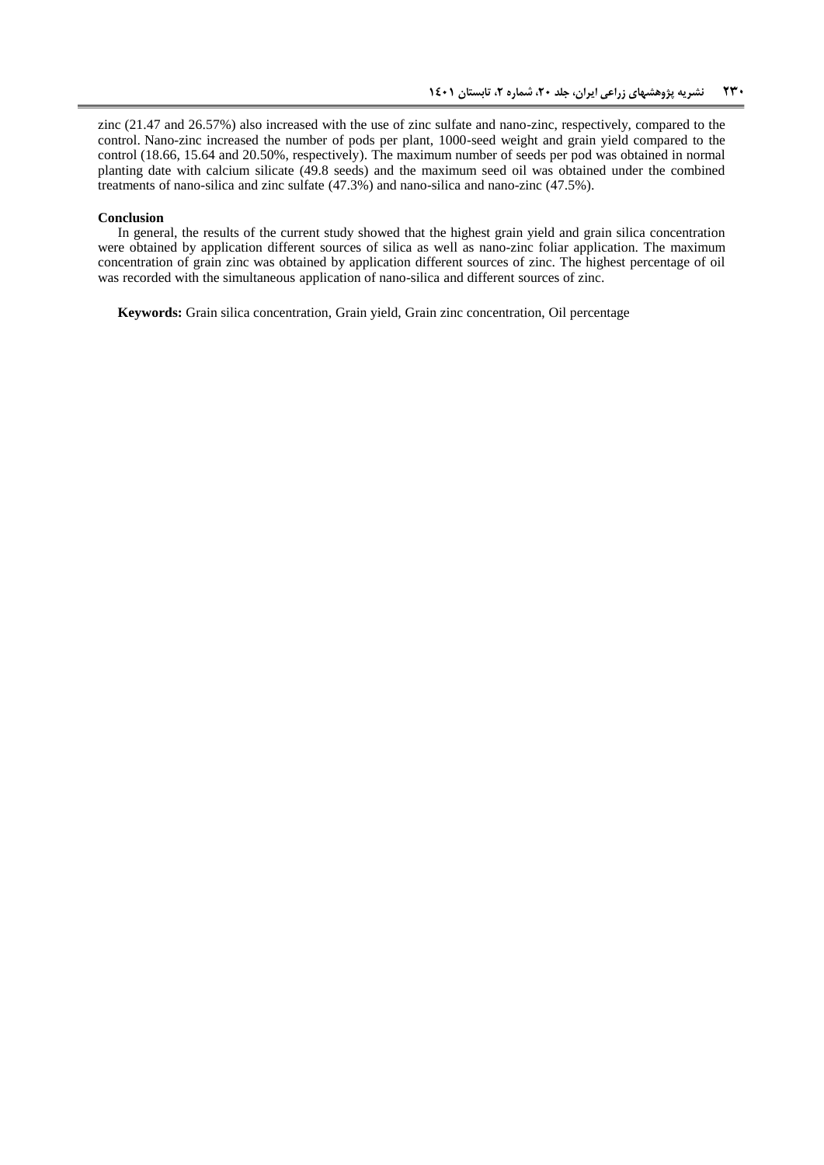zinc (21.47 and 26.57%) also increased with the use of zinc sulfate and nano-zinc, respectively, compared to the control. Nano-zinc increased the number of pods per plant, 1000-seed weight and grain yield compared to the control (18.66, 15.64 and 20.50%, respectively). The maximum number of seeds per pod was obtained in normal planting date with calcium silicate (49.8 seeds) and the maximum seed oil was obtained under the combined treatments of nano-silica and zinc sulfate (47.3%) and nano-silica and nano-zinc (47.5%).

#### **Conclusion**

In general, the results of the current study showed that the highest grain yield and grain silica concentration were obtained by application different sources of silica as well as nano-zinc foliar application. The maximum concentration of grain zinc was obtained by application different sources of zinc. The highest percentage of oil was recorded with the simultaneous application of nano-silica and different sources of zinc.

**Keywords:** Grain silica concentration, Grain yield, Grain zinc concentration, Oil percentage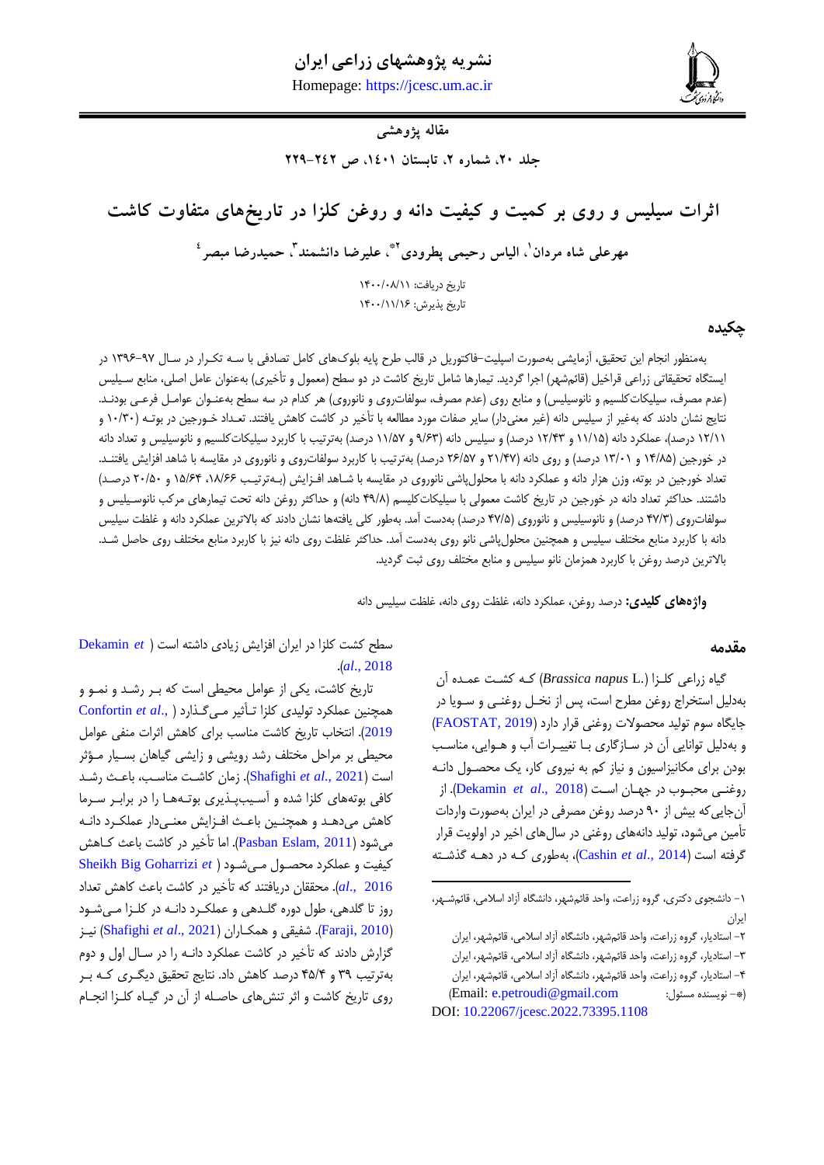**شاه مردان و همکاران، اثرات سیلیس و روی بر کمیت و کیفیت دانه و روغن کلزا در تاریخهای متفاوت کاشت 032** Homepage: [https://jcesc.um.ac.ir](https://jcesc.um.ac.ir/)



# **مقاله پژوهشی**

جلد ٢٠، شماره ٢، تابستان ١٤٠١، ص ٢٤٢-٢٢٩

**اثرات سیلیس و روی بر کمیت و کیفیت دانه و روغن کلزا در تاریخهای متفاوت کاشت**

**0\* ، الیاس رحیمی پطرودی <sup>1</sup> مهرعلی شاه مردان 3 ، علیرضا دانشمند ، حمیدرضا مبصر 0**

تاریخ دریافت: ١٣٠٠/٠٨/١١ تاریخ پذیرش: ۱۴۰۰/۱۱/۱۶

## **چکیده**

بهمنظور انجام این تحقیق، آزمایشی بهصورت اسپلیت-فاکتوریل در قالب طرح پایه بلوکهای کامل تصادفی با سهه تكهرار در سها 1971-79 در ایستگاه تحقیقاتی زراعی قراخیل (قائمشهر) اجرا گردید. تیمارها شامل تاریخ کاشت در دو سطح (معمول و تأخیری) بهعنوان عامل اصلی، منابع سـیلیس (عدم مصرف، سیلیكاتکلسیم و نانوسیلیس) و منابع روی (عدم مصرف، سولفاتروی و نانوروی) هر کدام در سه سطح بهعنـوان عوامـل فرعـی بودنـد. نتایج نشان دادند که بهغیر از سیلیس دانه (غیر معنیدار) سایر صفات مورد مطالعه با تأخیر در کاشت کاهش یافتند. تعـداد خـورجین در بوتـه (۱۰/۳۰ و ۱۲/۱۱ درصد)، عملكرد دانه (۱۱/۱۵ و ۱۲/۴۳ درصد) و سیلیس دانه (۹/۶۳ و ۱۱/۵۷ درصد) بهترتیب با كاربرد سیلیكاتکلسیم و نانوسیلیس و تعداد دانه در خورجین (۱۴/۸۵ و ۱۳/۰۱ درصد) و روی دانه (۲۱/۴۷ و ۲۶/۵۷ درصد) بهترتیب با کاربرد سولفاتروی و نانوروی در مقایسه با شاهد افزایش یافتنـد. تعداد خورجین در بوته، وزن هزار دانه و عملكرد دانه با محلول پاشی نانوروی در مقایسه با شـاهد افـزایش (بـهترتیـب ۱۸/۶۶، ۱۵/۶۴ و ۲۰/۵۰ درصـد) داشتند. حداکثر تعداد دانه در خورجین در تاریخ کاشت معمولی با سیلیکاتکلیسم (۴۹/۸ دانه) و حداکثر روغن دانه تحت تیمارهای مرکب نانوسـیلیس و سولفاتروی (۴۷/۳ درصد) و نانوسیلیس و نانوروی (۴۷/۵ درصد) بهدست آمد. بهطور کلی یافتهها نشان دادند که بالاترین عملکرد دانه و غلظت سیلیس دانه با کاربرد منابع مختلف سیلیس و همچنین محلول پاشی نانو روی بهدست آمد. حداکثر غلظت روی دانه نیز با کاربرد منابع مختلف روی حاصل شـد. بالاترین درصد روغن با کاربرد همزمان نانو سیلیس و منابع مختلف روی ثبت گردید.

1

**واژههای کلیدی:** درصد روغن، عملکرد دانه، غلظت روی دانه، غلظت سیلیس دانه

### **مقدمه**

گیاه زراعی کلهزا ) .L *napus Brassica* )کهه کشهت عمهده آن بهدلیل استخراج روغن مطرح است، پس از نخـل روغنـی و سـویا در جایگاه سوم تولید محصوالت روغنی قرار دارد )[2019 ,FAOSTAT](#page-12-0)) و بهدلیل توانایی آن در سازگاری با تغییرات آب و هـوایی، مناسـب بودن برای مكانیزاسیون و نیاز كم به نیروی كار، یک محصول دانـه روغنهی محبهو در جههان اسهت )2018 .,*al et* [Dekamin](#page-11-0)). از آنجاییکه بیش از 78 درصد روغن مصرفی در ایران بهصورت واردات تأمین میشود، تولید دانههای روغنی در سالهای اخیر در اولویت قرار گرفته است )2014 .,*al et* [Cashin](#page-11-1))، بهطوری کهه در دههه گذشهته

سطح کشت کلزا در ایران افزایش زیادی داشته است )*et* [Dekamin](#page-11-0) .)*al*[., 2018](#page-11-0)

تاریخ کاشت، یكی از عوامل محیطی است که بهر رشهد و نمهو و همچنین عملكرد تولیدی کلزا تهأثیر مهی گهذا[رد](#page-11-2) ) .,*al et* [Confortin](#page-11-2) [2019](#page-11-2)). انتخاب تاریخ کاشت مناسب برای کاهش اثرات منفی عوامل محیطی بر مراحل مختلف رشد رویشی و زایشی گیاهان بسهیار مهرثر است )2021 .,*al et* [Shafighi](#page-13-0)). زمان کاشهت مناسهب، باعهش رشهد کافی بوتههای کلزا شده و آسیبپذیری بوتهها را در برابر سرما کاهش میدهد و همچنین باعث افـزایش معنـیدار عملكـرد دانـه میشود )[2011 ,Eslam Pasban](#page-13-1)). اما تأخیر در کاشت باعش کهاهش کیفیت و عملكرد محصـول مـى شـ[ود](#page-13-2) ( Sheikh Big Goharrizi et [2016 .,](#page-13-2)*al*). محققان دریافتند که تأخیر در کاشت باعش کاهش تعداد روز تا گلدهی، طول دوره گلدهی و عملكرد دانـه در كلـزا مـیشـود )[2010 ,Faraji](#page-12-1)). شفیقی و همكهاران ) 2021 .,*al et* [Shafighi](#page-13-0) )نیهز گزارش دادند که تأخیر در کاشت عملکرد دانـه را در سـال اول و دوم بهترتیب ۳۹ و ۴۵/۴ درصد کاهش داد. نتایج تحقیق دیگری که بر روی تاریخ کاشت و اثر تنشهای حاصهله از آن در گیهاه کلهزا انجهام

<sup>-1</sup> دانشجوی دکتری، گروه زراعت، واحد قائمشهر، دانشگاه آزاد اسالمی، قائمشههر، ایران

<sup>-1</sup> استادیار، گروه زراعت، واحد قائمشهر، دانشگاه آزاد اسالمی، قائمشهر، ایران -9 استادیار، گروه زراعت، واحد قائمشهر، دانشگاه آزاد اسالمی، قائمشهر، ایران -0 استادیار، گروه زراعت، واحد قائمشهر، دانشگاه آزاد اسالمی، قائمشهر، ایران )Email: [e.petroudi@gmail.com](mailto:e.petroudi@gmail.com) : مسئو نویسنده -)\* DOI: [10.22067/jcesc.2022.73395.1108](https://dx.doi.org/10.22067/jcesc.2022.73395.1108)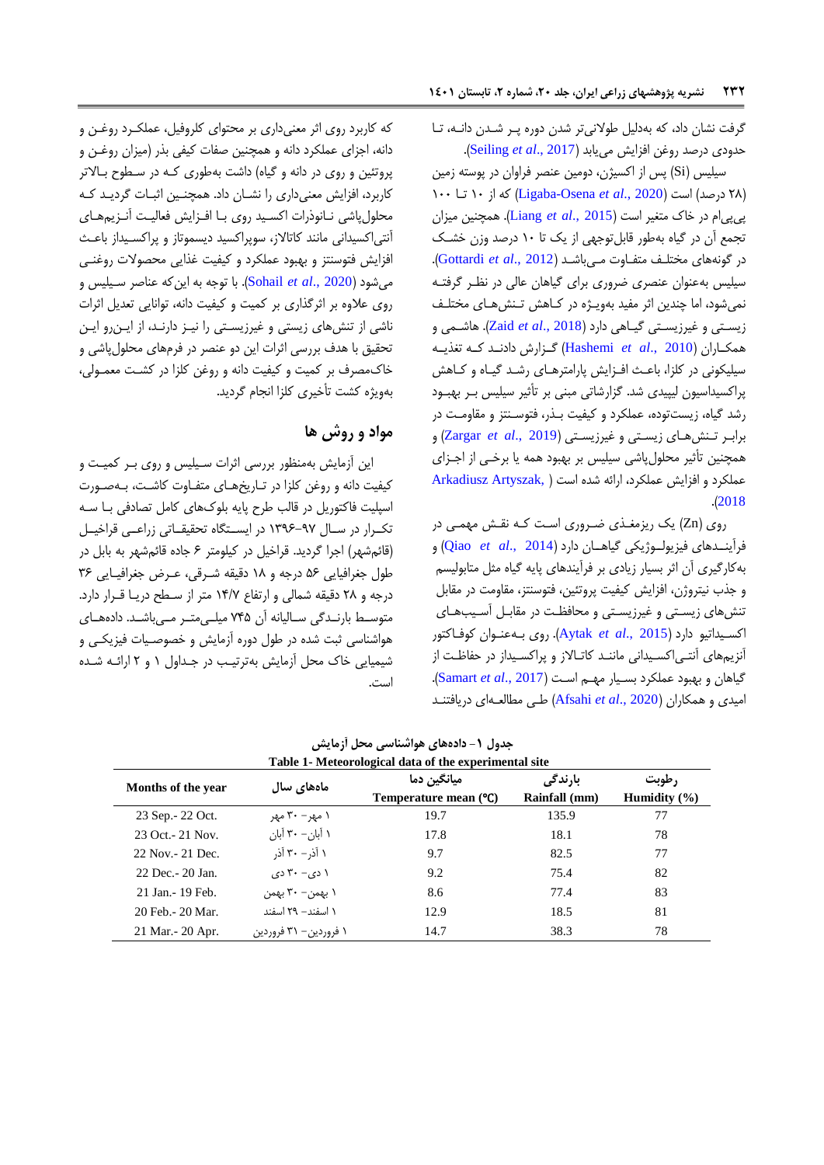گرفت نشان داد، که بهدلیل طوالنیتر شدن دوره پهر شهدن دانهه، تها حدودی درصد روغن افزایش مییابد )2017 .,*al et* [Seiling](#page-13-3)).

سیلیس (Si) پس از اکسیژن، دومین عنصر فراوان در پوسته زمین )10 درصد( است )2020 .,*al et* [Osena-Ligaba](#page-12-2) )که از 18 تها 188 پیپیام در خاک متییر است )[2015 .,](#page-12-3)*al et* Liang). همچنین میزان تجمع آن در گیاه بهطور قابلتوجهی از یک تا 18 درصد وزن خشهک در گونههای مختلهف متفهاوت مهی باشهد ) 2012 .,*al et* [Gottardi](#page-12-4)). سیلیس بهعنوان عنصری ضروری برای گیاهان عالی در نظـر گرفتـه نمیشود، اما چندین اثر مفید بهویـژه در کـاهش تـنشهـای مختلـف زیسهتی و غیرزیسهتی گیهاهی دارد ) [2018 .,](#page-13-4)*al et* Zaid). هاشهمی و همكهاران )2010 .,*al et* [Hashemi](#page-12-5) )گههزارش دادنههد کههه تیذیههه سیلیكونی در كلزا، باعث افـزایش پارامترهـای رشـد گیـاه و كـاهش پراکسیداسیون لیپیدی شد. گزارشاتی مبنی بر تأثیر سیلیس بـر بهبـود رشد گیاه، زیستتوده، عملكرد و كیفیت بـذر، فتوسـنتز و مقاومـت در برابهر تهنش ههای زیسهتی و غیرزیسهتی ) [2019 .,](#page-13-5)*al et* Zargar )و همچنین تأثیر محلول پاشی سیلیس بر بهبود همه یا برخـی از اجـزای عملكرد و افزایش عملكرد، ارائه شده است [\)](#page-11-3) [,Artyszak Arkadiusz](#page-11-3) .)[2018](#page-11-3)

روی (Zn) یک ریزم*غ*ـذی ضـروری اسـت کـه نقـش مهمـی در فرآینههدهای فیزیولههو یكی گیاهههان دارد ) [2014 .,](#page-13-6)*al et* Qiao )و بهکارگیری آن اثر بسیار زیادی بر فرآیندهای پایه گیاه مثل متابولیسم و جذب نیتروژن، افزایش کیفیت پروتئین، فتوسنتز، مقاومت در مقابل تنشهای زیستی و غیرزیستی و محافظت در مقابـل آسـیبهـای اکسهیداتیو دارد )[2015 .,](#page-11-4)*al et* Aytak). روی بهه عنهوان کوفهاکتور آنزیمهای آنتـی|کسـیدانی ماننـد کاتـالاز و پراکسـیداز در حفاظـت از گیاهان و بهبود عملكرد بسهیار مههم اسهت ) 2017 .,*al et* [Samart](#page-13-7)). امیدی و همكاران (Afsahi et al., 2020) طبی مطالعهای دریافتنـد

که کاربرد روی اثر معنیداری بر محتوای کلروفیل، عملكهرد روغهن و دانه، اجزای عملكرد دانه و همچنین صفات کیفی بذر )میزان روغهن و پروتئین و روی در دانه و گیاه) داشت بهطوری کـه در سـطوح بـالاتر کاربرد، افزایش معنیداری را نشان داد. همچنـین اثبـات گردیـد کـه محلول پاشی نانوذرات اکسید روی با افـزایش فعالیت آنـزیمهای آنتیاکسیدانی مانند کاتاالز، سوپراکسید دیسموتاز و پراکسهیداز باعهش افزایش فتوسنتز و بهبود عملكرد و کیفیت غذایی محصوالت روغنهی میشود (2020 ,Sohail *et al)*. با توجه به این که عناصر سـیلیس و روی عالوه بر اثرگذاری بر کمیت و کیفیت دانه، توانایی تعدیل اثرات ناشی از تنشهای زیستی و غیرزیستی را نیـز دارنـد، از ایـنررو ایـن تحقیق با هدف بررسی اثرات این دو عنصر در فرمهای محلول پاشی و خاک $\sim$ مصرف بر کمیت و کیفیت دانه و روغن کلزا در کشت معمـولی، بهویژه کشت تأخیری کلزا انجام گردید.

# **مواد و روش ها**

این آزمایش بهمنظور بررسی اثرات سیلیس و روی بـر کمیـت و کیفیت دانه و روغن کلزا در تـاریخهـای متفـاوت کاشـت، بـهصـورت اسپلیت فاکتوریل در قالب طرح پایه بلوکهای کامل تصادفی بها سهه تكرار در سال ۹۷-۱۳۹۶ در ایستگاه تحقیقاتی زراعهی قراخیل )قائمشهر( اجرا گردید. قراخیل در کیلومتر 1 جاده قائمشهر به بابل در طول جغرافیایی ۵۶ درجه و ۱۸ دقیقه شرقی، عرض جغرافیایی ۳۶ درجه و 10 دقیقه شمالی و ارتفاع 10/9 متر از سهطح دریها قهرار دارد. متوسط بارنـدگی سـالیانه آن ۷۴۵ میلـی متـر مـیباشـد. دادههـای هواشناسی ثبت شده در طول دوره آزمایش و خصوصـیات فیزیكـی و شیمیایی خاک محل آزمایش بهترتیب در جداول ۱ و ۲ ارائـه شـده است.

| Table 1- Meteorological data of the experimental site |                       |                                       |                          |                           |  |  |  |
|-------------------------------------------------------|-----------------------|---------------------------------------|--------------------------|---------------------------|--|--|--|
| Months of the year                                    | ماەھاي سال            | ميانگين دما<br>Temperature mean $(C)$ | بارندگی<br>Rainfall (mm) | رطوبت<br>Humidity $(\% )$ |  |  |  |
| 23 Sep. - 22 Oct.                                     | ۱ مهر – ۳۰ مهر        | 19.7                                  | 135.9                    | 77                        |  |  |  |
| 23 Oct. - 21 Nov.                                     | ۱ آبان– ۳۰ آبان       | 17.8                                  | 18.1                     | 78                        |  |  |  |
| 22 Nov. - 21 Dec.                                     | ۱ آذر – ۳۰ آذر        | 9.7                                   | 82.5                     | 77                        |  |  |  |
| 22 Dec. - 20 Jan.                                     | $(2, -7)$ دی $-7$ دی  | 9.2                                   | 75.4                     | 82                        |  |  |  |
| 21 Jan. - 19 Feb.                                     | ۱ بهمن- ۳۰ بهمن       | 8.6                                   | 77.4                     | 83                        |  |  |  |
| 20 Feb. - 20 Mar.                                     | ١ اسفند– ٢٩ اسفند     | 12.9                                  | 18.5                     | 81                        |  |  |  |
| 21 Mar. - 20 Apr.                                     | ۱ فروردین– ۳۱ فروردین | 14.7                                  | 38.3                     | 78                        |  |  |  |

**جدول -0 دادههای هواشناسی محل آزمایش**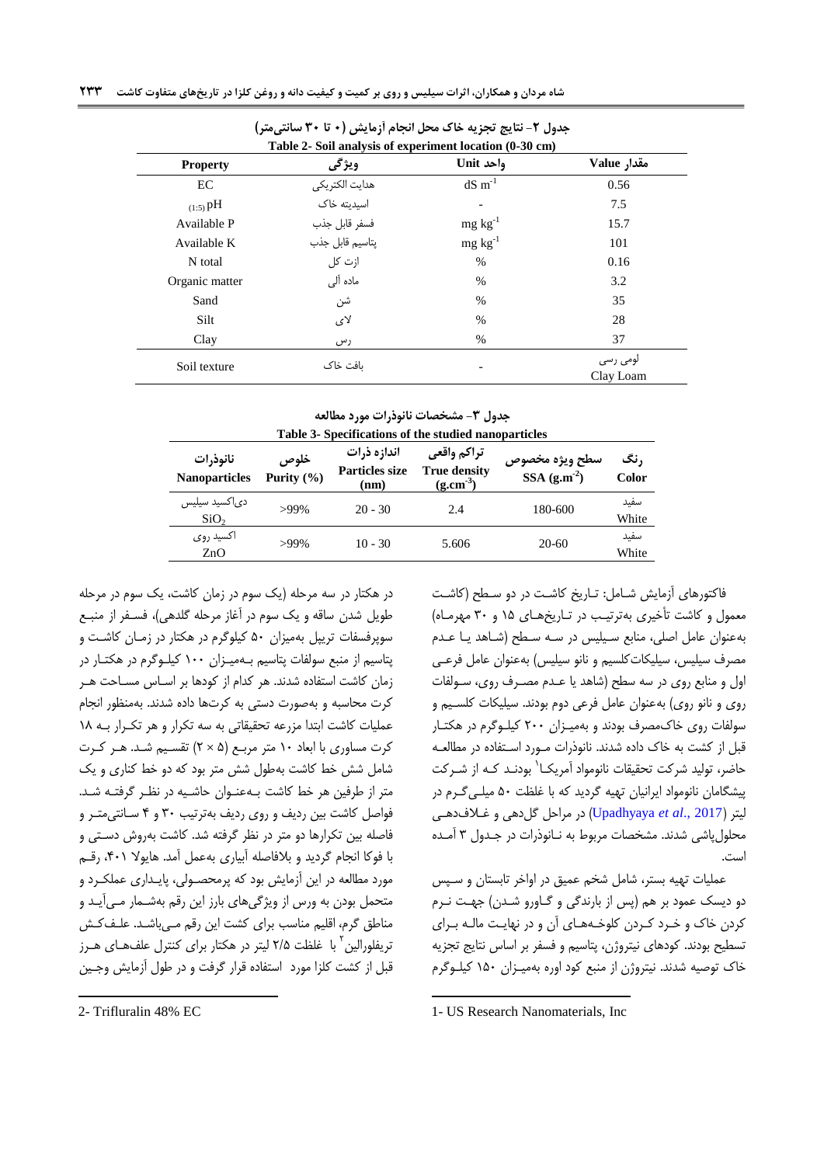|                 | Table 2- Soil analysis of experiment location (0-30 cm) |                     |                       |
|-----------------|---------------------------------------------------------|---------------------|-----------------------|
| <b>Property</b> | ويژگى                                                   | واحد Unit           | مقدار Value           |
| EC              | هدايت الكتريكي                                          | $dS \text{ m}^{-1}$ | 0.56                  |
| $(1:5)$ pH      | اسیدیته خاک                                             |                     | 7.5                   |
| Available P     | فسفر قابل جذب                                           | $mg \, kg^{-1}$     | 15.7                  |
| Available K     | پتاسیم قابل جذب                                         | $mg \, kg^{-1}$     | 101                   |
| N total         | ازت کل                                                  | $\%$                | 0.16                  |
| Organic matter  | ماده آلی                                                | $\%$                | 3.2                   |
| Sand            | شن                                                      | $\%$                | 35                    |
| Silt            | لای                                                     | $\%$                | 28                    |
| Clay            | رس                                                      | $\%$                | 37                    |
| Soil texture    | ىافت خاك                                                |                     | لومی رسی<br>Clay Loam |

**جدول -0 نتایج تجزیه خاك محل انجام آزمایش )2 تا 02 سانتیمتر(**

**جدول -0 مشخصات نانوذرات مورد مطالعه**

| Table 3- Specifications of the studied nanoparticles |                        |                                              |                                                     |                                 |               |  |  |
|------------------------------------------------------|------------------------|----------------------------------------------|-----------------------------------------------------|---------------------------------|---------------|--|--|
| نانوذرات<br><b>Nanoparticles</b>                     | خلوص<br>Purity $(\% )$ | اندازه ذرات<br><b>Particles size</b><br>(nm) | تراكم واقعى<br><b>True density</b><br>$(g.cm^{-3})$ | سطح ويژه مخصوص<br>SSA $(g.m-2)$ | , نگ<br>Color |  |  |
| دی کسید سیلیس<br>SiO <sub>2</sub>                    | $>99\%$                | $20 - 30$                                    | 2.4                                                 | 180-600                         | سفيد<br>White |  |  |
| اکسید روی<br>ZnO                                     | $>99\%$                | $10 - 30$                                    | 5.606                                               | 20-60                           | سفيد<br>White |  |  |

فاکتورهای آزمایش شامل: تاریخ کاشت در دو سطح (کاشت معمول و کاشت تأخیری بهترتیب در تاریخ های ۱۵ و ۳۰ مهرماه) بهعنوان عامل اصلی، منابع سیلیس در سه سطح (شاهد یا عدم مصرف سیلیس، سیلیکاتکلسیم و نانو سیلیس) بهعنوان عامل فرعـی اول و منابع روی در سه سطح (شاهد یا عـدم مصـرف روی، سـولفات روی و نانو روی) بهعنوان عامل فرعی دوم بودند. سیلیكات كلسـیم و سولفات روی خاکمصرف بودند و بهمیهزان 188 کیلهوگرم در هكتهار قبل از کشت به خاک داده شدند. نانوذرات مـورد اسـتفاده در مطالعـه حاضر، تولید شرکت تحقیقات نانومواد آمریکـا<sup>\</sup> بودنـد کـه از شـرکت پیشگامان نانومواد ایرانیان تهیه گردید که با غلظت 18 میلهی گهرم در لیتر )2017 .,*al et* [Upadhyaya](#page-13-9) )در مراحل گلدهی و غهالف دههی محلول پاشی شدند. مشخصات مربوط به نـانوذرات در جـدول ۳ آمـده است.

عملیات تهیه بستر، شامل شخم عمیق در اواخر تابستان و سهپ دو دیسک عمود بر هم (پس از بارندگی و گـاورو شـدن) جهـت نـرم کردن خاک و خـرد کـردن کلوخـههـای آن و در نهایـت مالـه بـرای تسطیح بودند. کودهای نیترو ن، پتاسیم و فسفر بر اساس نتایج تجزیه خاک توصیه شدند. نیتروژن از منبع کود اوره بهمیـزان ۱۵۰ کیلـوگرم

طویل شدن ساقه و یک سوم در آغاز مرحله گلدهی)، فسـفر از منبـع سوپرفسفات تریپل بهمیزان 18 کیلوگرم در هكتار در زمهان کاشهت و پتاسیم از منبع سولفات پتاسیم بـهمیـزان ۱۰۰ کیلـوگرم در هکتـار در زمان کاشت استفاده شدند. هر کدام از کودها بر اساس مساحت هـر کرت محاسبه و بهصورت دستی به کرتها داده شدند. بهمنظور انجام عملیات کاشت ابتدا مزرعه تحقیقاتی به سه تكرار و هر تكهرار بهه 10 کرت مساوری با ابعاد 18 متر مربهع ) 1 × 1( تقسهیم شهد. ههر کهرت شامل شش خط کاشت بهطول شش متر بود که دو خط کناری و یک متر از طرفین هر خط کاشت بـهعنـوان حاشـیه در نظـر گرفتـه شـد. فواصل کاشت بین ردیف و روی ردیف بهترتیب 98 و 0 سهانتی متهر و فاصله بین تكرارها دو متر در نظر گرفته شد. کاشت بهروش دسهتی و با فوکا انجام گردید و بالفاصله آبیاری بهعمل آمد. هایوال ،081 رقهم مورد مطالعه در این آزمایش بود که پرمحصهولی، پایهداری عملكهرد و متحمل بودن به ورس از ویژگیهای بارز این رقم بهشهمار مهی آیهد و مناطق گرم، اقلیم مناسب برای کشت این رقم مهیباشد. علـفکش نریفلورالین<sup>۲</sup> با غلظت ۲/۵ لیتر در هکتار برای کنترل علفهای هـرز قبل از کشت کلزا مورد استفاده قرار گرفت و در طول آزمایش وجین 1

در هكتار در سه مرحله )یک سوم در زمان کاشت، یک سوم در مرحله

 $\overline{a}$ 

<sup>1-</sup> US Research Nanomaterials, Inc

<sup>2-</sup> Trifluralin 48% EC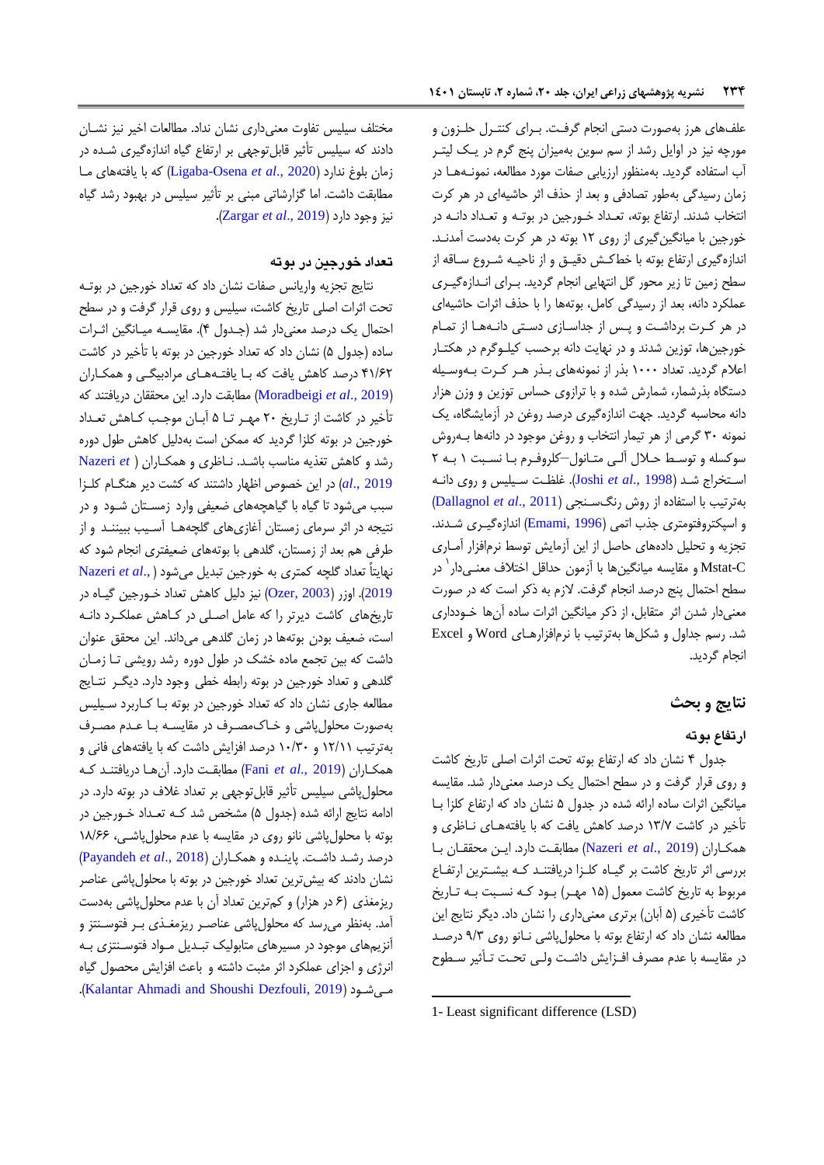علفهای هرز بهصورت دستی انجام گرفت. بـرای کنتـرل حلـزون و مورچه نیز در اوایل رشد از سم سوین بهمیزان پنج گرم در یـک لیتـر آب استفاده گردید. بهمنظور ارزیابی صفات مورد مطالعه، نمونــههــا در زمان رسیدگی بهطور تصادفی و بعد از حذف اثر حاشیهای در هر کرت انتخاب شدند. ارتفاع بوته، تعـداد خـورجین در بوتـه و تعـداد دانـه در خورجین با میانگینگیری از روی 11 بوته در هر کرت بهدست آمدنهد. اندازهگیری ارتفاع بوته با خطكش دقیـق و از ناحیـه شـروع سـاقه از سطح زمین تا زیر محور گل انتهایی انجام گردید. بهرای انهدازه گیهری عملكرد دانه، بعد از رسیدگی کامل، بوتهها را با حذف اثرات حاشیهای در هر کرت برداشت و پس از جداسازی دستی دانهها از تمام خورجینها، توزین شدند و در نهایت دانه برحسب کیلهوگرم در هكتهار اعلام گردید. تعداد ۱۰۰۰ بذر از نمونههای بـذر هـر کـرت بـهوسـیله دستگاه بذرشمار، شمارش شده و با ترازوی حساس توزین و وزن هزار دانه محاسبه گردید. جهت اندازهگیری درصد روغن در آزمایشگاه، یک نمونه ۳۰ گرمی از هر تیمار انتخاب و روغن موجود در دانهها بـهروش سوکسله و توسط حلال آلی متانول–کلروفرم با نسبت ۱ بـه ۲ اسهتخراج شهد ) [1998 .,](#page-12-6)*al et* Joshi). غلظهت سهیلی و روی دانهه بهترتیب با استفاده از روش رنگسهنجی )2011 .,*al et* [Dallagnol](#page-11-6) ) و اسپكتروفتومتری جذب اتمی (Emami, 1996) اندازهگیری شدند. تجزیه و تحلیل دادههای حاصل از این آزمایش توسط نرمافزار آمـاری Mstat-C و مقایسه میانگینها با آزمون حداقل اختلاف معنـیدار<sup>\</sup> در سطح احتمال پنج درصد انجام گرفت. لازم به ذکر است که در صورت معنیدار شدن اثر متقابل، از رکر میانگین اثرات ساده آنها خهودداری شد. رسم جداول و شكلها بهترتیب با نرمافزارهای Word و Excel انجام گردید.

# **نتایج و بحث**

# **ارتفاع بوته**

جدول ۴ نشان داد که ارتفاع بوته تحت اثرات اصلی تاریخ کاشت و روی قرار گرفت و در سطح احتما یک درصد معنیدار شد. مقایسه میانگین اثرات ساده ارائه شده در جدول ۵ نشان داد که ارتفاع کلزا با تأخیر در کاشت ۱۳/۷ درصد کاهش یافت که با یافتههای ناظری و همكهاران ) 2019 .,*al et* [Nazeri](#page-12-7) )مطابقهت دارد. ایهن محققهان بها بررسی اثر تاریخ کاشت بر گیهاه کلهزا دریافتنهد کهه بیشهترین ارتفهاع مربوط به تاریخ کاشت معمول (۱۵ مهـر) بـود کـه نسـبت بـه تـاریخ کاشت تأخیری (۵ آبان) برتری معنیداری را نشان داد. دیگر نتایج این مطالعه نشان داد که ارتفاع بوته با محلول پاشی نـانو روی ۹/۳ درصـد در مقایسه با عدم مصرف افـزایش داشـت ولـی تحـت تـأثیر سـطوح

 $\overline{a}$ 

مختلف سیلیس تفاوت معنیداری نشان نداد. مطالعات اخیر نیز نشـان دادند که سیلیس تأثیر قابلتوجهی بر ارتفاع گیاه اندازهگیری شده در زمان بلوغ ندارد )2020 .,*al et* [Osena-Ligaba](#page-12-2) )که با یافتههای مها مطابقت داشت. اما گزارشاتی مبنی بر تأثیر سیلیس در بهبود رشد گیاه نیز وجود دارد )2019 .,*al et* [Zargar](#page-13-5)).

## **تعداد خورجین در بوته**

نتایج تجزیه واریانس صفات نشان داد که تعداد خورجین در بوته تحت اثرات اصلی تاریخ کاشت، سیلی و روی قرار گرفت و در سطح احتمال یک درصد معنیدار شد (جـدول ۴). مقایسـه میـانگین اثـرات ساده (جدول ۵) نشان داد که تعداد خورجین در بوته با تأخیر در کاشت ۴۱/۶۲ درصد کاهش یافت که بـا یافتـههـای مرادبیگـی و همكـاران )2019 .,*al et* [Moradbeigi](#page-12-8) )مطابقت دارد. این محققان دریافتند که تأخیر در کاشت از تـاریخ ۲۰ مهـر تـا ۵ آبـان موجـب کـاهش تعـداد خورجین در بوته کلزا گردید که ممکن است بهدلیل کاهش طول دوره رشد و کاهش تیذیه مناسب باشهد . نهازری و همكهارا[ن](#page-12-7) ) *et* [Nazeri](#page-12-7) [2019 .,](#page-12-7)*al* )در این خصوص ازهار داشتند که کشت دیر هنگهام کلهزا سبب میشود تا گیاه با گیاهچههای ضعیفی وارد زمسهتان شهود و در نتیجه در اثر سرمای زمستان آغازیهای گلچههها آسهیب ببیننهد و از طرفی هم بعد از زمستان، گلدهی با بوتههای ضعیفتری انجام شود که نهایتاً تعداد گلچه کمتری به خورجین تبدیل میشود [\)](#page-12-7) .,*al et* [Nazeri](#page-12-7) [2019](#page-12-7)(. اوزر )[2003 ,Ozer](#page-13-10) )نیز دلیل کاهش تعداد خهورجین گیهاه در تاریخهای کاشت دیرتر را که عامل اصلی در کاهش عملک د دانـه است، ضعیف بودن بوتهها در زمان گلدهی میداند. این محقق عنوان داشت که بین تجمع ماده خشک در طول دوره رشد رویشی تا زمان گلدهی و تعداد خورجین در بوته رابطه خطی وجود دارد. دیگهر نتهایج مطالعه جاری نشان داد که تعداد خورجین در بوته بـا کـاربرد سـیلیس بهصورت محلول پاشی و خـاک مصـرف در مقایسـه بـا عـدم مصـرف بهترتیب 11/11 و 18/98 درصد افزایش داشت که با یافتههای فانی و همكهاران ) [2019 .,](#page-12-9)*al et* Fani )مطابقهت دارد. آن هها دریافتنهد کهه محلول پاشی سیلیس تأثیر قابل توجهی بر تعداد غلاف در بوته دارد. در ادامه نتایج ارائه شده (جدول ۵) مشخص شد که تعداد خـورجین در بوته با محلول پاشی نانو روی در مقایسه با عدم محلول پاشی، ۱۸/۶۶ درصد رشهد داشهت. پاینهده و همكهاران ) 2018 .,*al et* [Payandeh](#page-13-11) ) نشان دادند که بیش ترین تعداد خورجین در بوته با محلول پاشی عناصر ریزمغذی (۶ در هزار) و کمترین تعداد آن با عدم محلول پاشی بهدست آمد. بهنظر میرسد که محلول پاشی عناصر ریزمغـذی بـر فتوسـنتز و آنزیمهای موجود در مسیرهای متابولیک تبهدیل مهواد فتوسهنتزی بهه انرژی و اجزای عملكرد اثر مثبت داشته و باعث افزایش محصول گیاه .)[Kalantar Ahmadi and Shoushi Dezfouli, 2019](#page-12-10) ( شهود مهی

<sup>1-</sup> Least significant difference (LSD)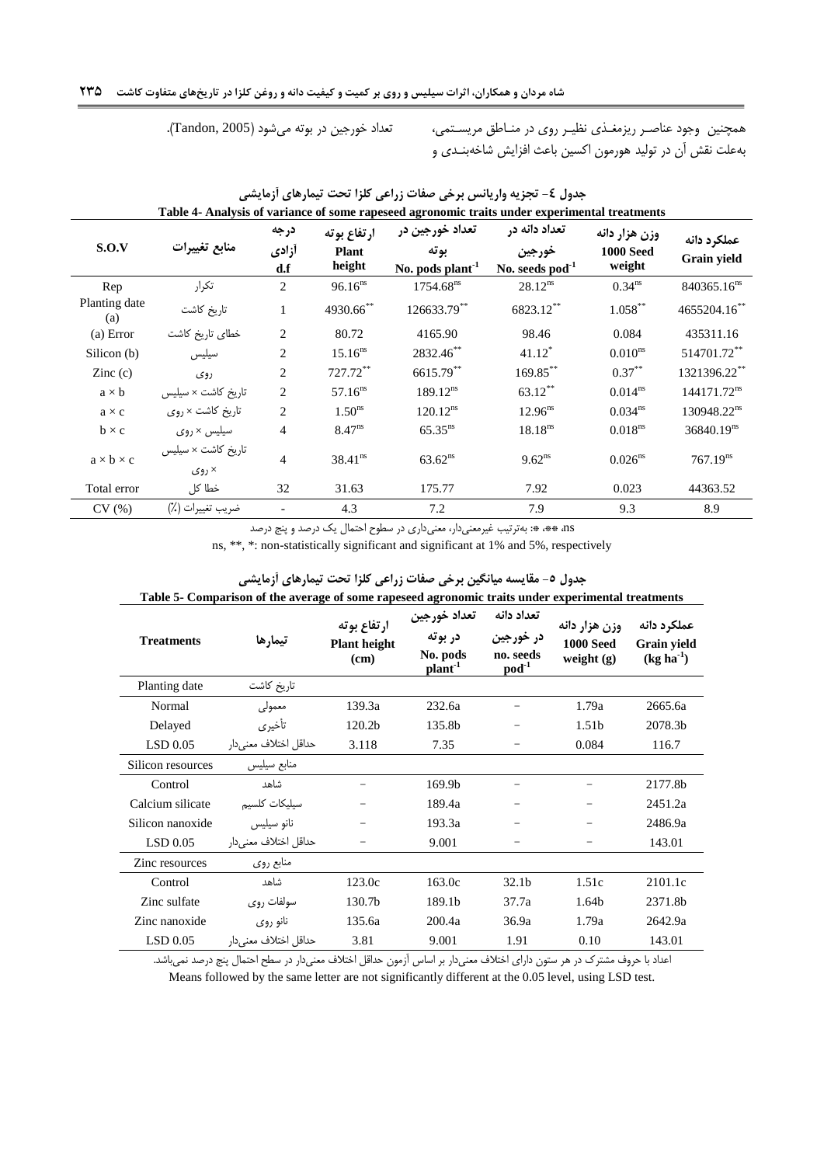<span id="page-6-0"></span>همچنین وجود عناصـر ریزمغـذی نظیـر روی در منـاطق مریسـتمی، تعداد خورجین در بوته میشود (Tandon, 2005). بهعلت نقش آن در تولید هورمون اکسین باعش افزایش شاخهبنهدی و

| S.O.V                 | منابع تغييرات                     | درجه<br>أزادي<br>d.f | ارتفاع بوته<br><b>Plant</b><br>height | تعداد خورجین در<br>بوته<br>No. pods plant <sup>-1</sup> | تعداد دانه در<br>خورجين<br>No. seeds pod <sup>-1</sup> | وزن هزار دانه<br><b>1000 Seed</b><br>weight | عملكرد دانه<br><b>Grain yield</b> |
|-----------------------|-----------------------------------|----------------------|---------------------------------------|---------------------------------------------------------|--------------------------------------------------------|---------------------------------------------|-----------------------------------|
| Rep                   | تكرار                             | 2                    | $96.16^{ns}$                          | 1754.68 <sup>ns</sup>                                   | $28.12^{ns}$                                           | 0.34 <sup>ns</sup>                          | $840365.16^{ns}$                  |
| Planting date<br>(a)  | تاريخ كاشت                        | 1                    | 4930.66**                             | 126633.79**                                             | 6823.12**                                              | $1.058***$                                  | 4655204.16**                      |
| (a) Error             | خطای تاریخ کاشت                   | $\overline{c}$       | 80.72                                 | 4165.90                                                 | 98.46                                                  | 0.084                                       | 435311.16                         |
| Silicon (b)           | سيليس                             | $\overline{c}$       | $15.16^{ns}$                          | 2832.46**                                               | $41.12*$                                               | $0.010^{ns}$                                | 514701.72**                       |
| $\text{Zinc}(c)$      | روي                               | $\overline{c}$       | $727.72***$                           | 6615.79**                                               | 169.85**                                               | $0.37***$                                   | 1321396.22**                      |
| $a \times b$          | تاریخ کاشت × سیلیس                | $\overline{c}$       | $57.16^{ns}$                          | $189.12^{ns}$                                           | $63.12***$                                             | $0.014^{ns}$                                | 144171.72 <sup>ns</sup>           |
| $a \times c$          | تاريخ كاشت × روى                  | $\overline{c}$       | 1.50 <sup>ns</sup>                    | 120.12 <sup>ns</sup>                                    | $12.96^{ns}$                                           | 0.034 <sup>ns</sup>                         | 130948.22 <sup>ns</sup>           |
| $b \times c$          | سیلیس × روی                       | $\overline{4}$       | $8.47^{ns}$                           | $65.35^{ns}$                                            | $18.18^{ns}$                                           | 0.018 <sup>ns</sup>                         | $36840.19$ <sup>ns</sup>          |
| $a \times b \times c$ | تاریخ کاشت × سیلیس<br>$\zeta$ روی | $\overline{4}$       | $38.41^{ns}$                          | $63.62^{ns}$                                            | $9.62^{ns}$                                            | $0.026$ <sup>ns</sup>                       | 767.19 <sup>ns</sup>              |
| Total error           | خطا کل                            | 32                   | 31.63                                 | 175.77                                                  | 7.92                                                   | 0.023                                       | 44363.52                          |
| CV(%)                 | ضريب تغييرات (٪)                  |                      | 4.3                                   | 7.2                                                     | 7.9                                                    | 9.3                                         | 8.9                               |

| جدول ٤- تجزيه واريانس برخي صفات زراعي كلزا تحت تيمارهاي أزمايشي                               |  |
|-----------------------------------------------------------------------------------------------|--|
| Table 4- Analysis of variance of some rapeseed agronomic traits under experimental treatments |  |

<span id="page-6-1"></span>ns، \*: بهترتیب غیرمعنیدار، معنیداری در سطوح احتمال یک درصد و پنج درصد

ns, \*\*, \*: non-statistically significant and significant at 1% and 5%, respectively

| <b>Treatments</b> | تيمارها               | ارتفاع بوته<br><b>Plant height</b><br>(cm) | تعداد خورجين<br>در بوته<br>No. pods<br>plant <sup>-1</sup> | تعداد دانه<br>در خورجين<br>no. seeds<br>$pod^{-1}$ | وزن هزار دانه<br><b>1000 Seed</b><br>weight $(g)$ | عملكرد دانه<br>Grain yield<br>$(kg ha^{-1})$ |
|-------------------|-----------------------|--------------------------------------------|------------------------------------------------------------|----------------------------------------------------|---------------------------------------------------|----------------------------------------------|
| Planting date     | تاريخ كاشت            |                                            |                                                            |                                                    |                                                   |                                              |
| Normal            | معمولى                | 139.3a                                     | 232.6a                                                     |                                                    | 1.79a                                             | 2665.6a                                      |
| Delayed           | تأخيري                | 120.2 <sub>b</sub>                         | 135.8b                                                     |                                                    | 1.51 <sub>b</sub>                                 | 2078.3b                                      |
| LSD 0.05          | حداقل اختلاف معنى دار | 3.118                                      | 7.35                                                       |                                                    | 0.084                                             | 116.7                                        |
| Silicon resources | منابع سيليس           |                                            |                                                            |                                                    |                                                   |                                              |
| Control           | شاهد                  |                                            | 169.9b                                                     |                                                    |                                                   | 2177.8b                                      |
| Calcium silicate  | سيليكات كلسيم         |                                            | 189.4a                                                     |                                                    |                                                   | 2451.2a                                      |
| Silicon nanoxide  | نانو سيليس            |                                            | 193.3a                                                     |                                                    |                                                   | 2486.9a                                      |
| LSD $0.05$        | حداقل اختلاف معنى دار |                                            | 9.001                                                      |                                                    |                                                   | 143.01                                       |
| Zinc resources    | منابع روى             |                                            |                                                            |                                                    |                                                   |                                              |
| Control           | شاهد                  | 123.0c                                     | 163.0c                                                     | 32.1 <sub>b</sub>                                  | 1.51c                                             | 2101.1c                                      |
| Zinc sulfate      | سولفات روی            | 130.7b                                     | 189.1b                                                     | 37.7a                                              | 1.64b                                             | 2371.8b                                      |
| Zinc nanoxide     | نانو روی              | 135.6a                                     | 200.4a                                                     | 36.9a                                              | 1.79a                                             | 2642.9a                                      |
| $LSD$ 0.05        | حداقل اختلاف معنى دار | 3.81                                       | 9.001                                                      | 1.91                                               | 0.10                                              | 143.01                                       |

# جدول **٥- مقایسه میانگین برخی صفات زراعی کلزا تحت تیمارهای آزمایشی**

**Table 5- Comparison of the average of some rapeseed agronomic traits under experimental treatments**

اعداد با حروف مشترک در هر ستون دارای اختلاف معنیدار بر اساس آزمون حداقل اختلاف معنیدار در سطح احتمال پنج درصد نمیباشد. Means followed by the same letter are not significantly different at the 0.05 level, using LSD test.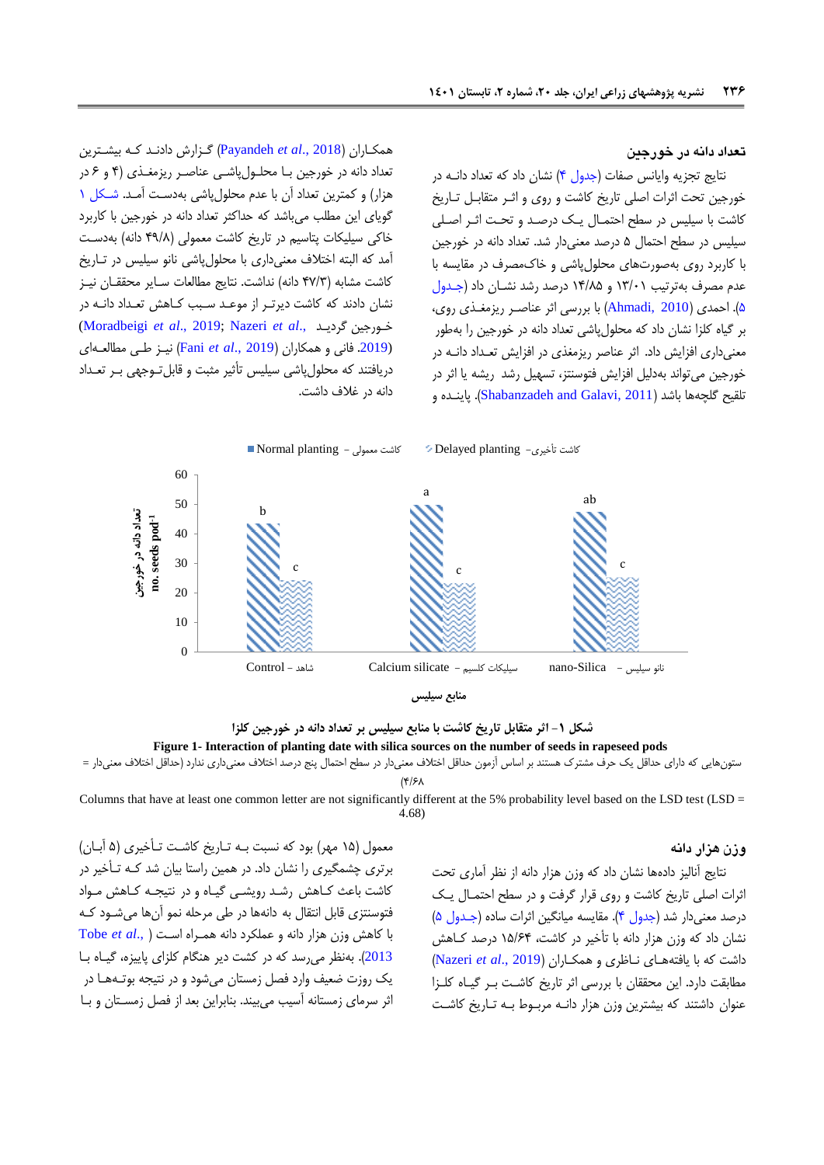## **تعداد دانه در خورجین**

نتایج تجزیه وایانس صفات (جدول ۴) نشان داد که تعداد دانـه در خورجین تحت اثرات اصلی تاریخ کاشت و روی و اثـر متقابـل تـاریخ کاشت با سیلیس در سطح احتمال یک درصد و تحت اثـر اصـلی سیلیس در سطح احتمال ۵ درصد معنی دار شد. تعداد دانه در خورجین با کاربرد روی بهصورتهای محلو پاشی و خاکمصرف در مقایسه با عدم مصرف بهترتیب ۱۳/۰۱ و ۱۴/۸۵ درصد رشد نشان داد (جدول [1\(](#page-6-1). احمدی )[2010 ,Ahmadi](#page-11-8) )با بررسی اثر عناصهر ریزمیهذی روی، بر گیاه کلزا نشان داد که محلو پاشی تعداد دانه در خورجین را بهطور معنیداری افزایش داد. اثر عناصر ریزمیذی در افزایش تعهداد دانهه در خورجین میتواند بهدلیل افزایش فتوسنتز، تسهیل رشد ریشه یا اثر در تلقیح گلچهها باشد )[2011 ,Galavi and Shabanzadeh](#page-13-12)). پاینهده و

همكهاران ) 2018 .,*al et* [Payandeh](#page-13-11) )گهزارش دادنهد کهه بیشهترین تعداد دانه در خورجین با محلولپاشی عناصر ریزمغـذی (۴ و ۶ در هزار) و کمترین تعداد آن با عدم محلول پاشی بهدست آمـد. شـكل ۱ گویای این مطلب میباشد که حداکثر تعداد دانه در خورجین با کاربرد خاکی سیلیکات پتاسیم در تاریخ کاشت معمولی (۴۹/۸ دانه) بهدست آمد که البته اختلاف معنیداری با محلول پاشی نانو سیلیس در تـاریخ کاشت مشابه (۴۷/۳ دانه) نداشت. نتایج مطالعات سـایر محققـان نیـز نشان دادند که کاشت دیرتر از موعـد سـبب کـاهش تعـداد دانـه در [\(Moradbeigi](#page-12-8) *et al*., 2019; [Nazeri](#page-12-7) *et al*., گردیهد خهورجین (.[2019](#page-12-7) فانی و همكاران )[2019 .,](#page-12-9)*al et* Fani )نیهز طهی مطالعهه ای دریافتند که محلول پاشی سیلیس تأثیر مثبت و قابل تـوجهی بـر تعـداد دانه در غالف داشت.



**شکل -0 اثر متقابل تاریخ کاشت با منابع سیلیس بر تعداد دانه در خورجین کلزا Figure 1- Interaction of planting date with silica sources on the number of seeds in rapeseed pods** 

## ستونهایی که دارای حداقل یک حرف مشترک هستند بر اساس آزمون حداقل اختلاف معنیدار در سطح احتمال پنج درصد اختلاف معنیداری ندارد (حداقل اختلاف معنیدار =  $(8/5)$

Columns that have at least one common letter are not significantly different at the 5% probability level based on the LSD test (LSD = 4.68)

## <span id="page-7-0"></span>**وزن هزار دانه**

معمول (۱۵ مهر) بود که نسبت بـه تـاریخ کاشـت تـأخیری (۵ آبـان) برتری چشمگیری را نشان داد. در همین راستا بیان شد کـه تـأخیر در کاشت باعث کـاهش رشـد رویشـی گیـاه و در نتیجـه کـاهش مـواد فتوسنتزی قابل انتقال به دانهها در طی مرحله نمو آنها میشـود کـه با کاهش وزن هزار دانه و عملكرد دانه همهراه اسه[ت](#page-13-13) ) .,*al et* [Tobe](#page-13-13) [2013](#page-13-13)). بهنظر می رسد که در کشت دیر هنگام کلزای پاییزه، گیاه با یک روزت ضعیف وارد فصل زمستان می شود و در نتیجه بوتـههـا در اثر سرمای زمستانه آسیب میبیند. بنابراین بعد از فصل زمسهتان و بها

نتایج آنالیز دادهها نشان داد که وزن هزار دانه از نظر آماری تحت اثرات اصلی تاریخ کاشت و روی قرار گرفت و در سطح احتمها یهک درصد معنی دار شد (جدول ۴). مقایسه میانگین اثرات ساده (جـدول ۵) نشان داد که وزن هزار دانه با تأخیر در کاشت، 11/10 درصد کهاهش داشت که با یافتهههای نهازری و همكهاران ) 2019 .,*al et* [Nazeri](#page-12-7) ) مطابقت دارد. این محققان با بررسی اثر تاریخ کاشهت بهر گیهاه کلهزا عنوان داشتند که بیشترین وزن هزار دانـه مربـوط بـه تـاریخ کاشـت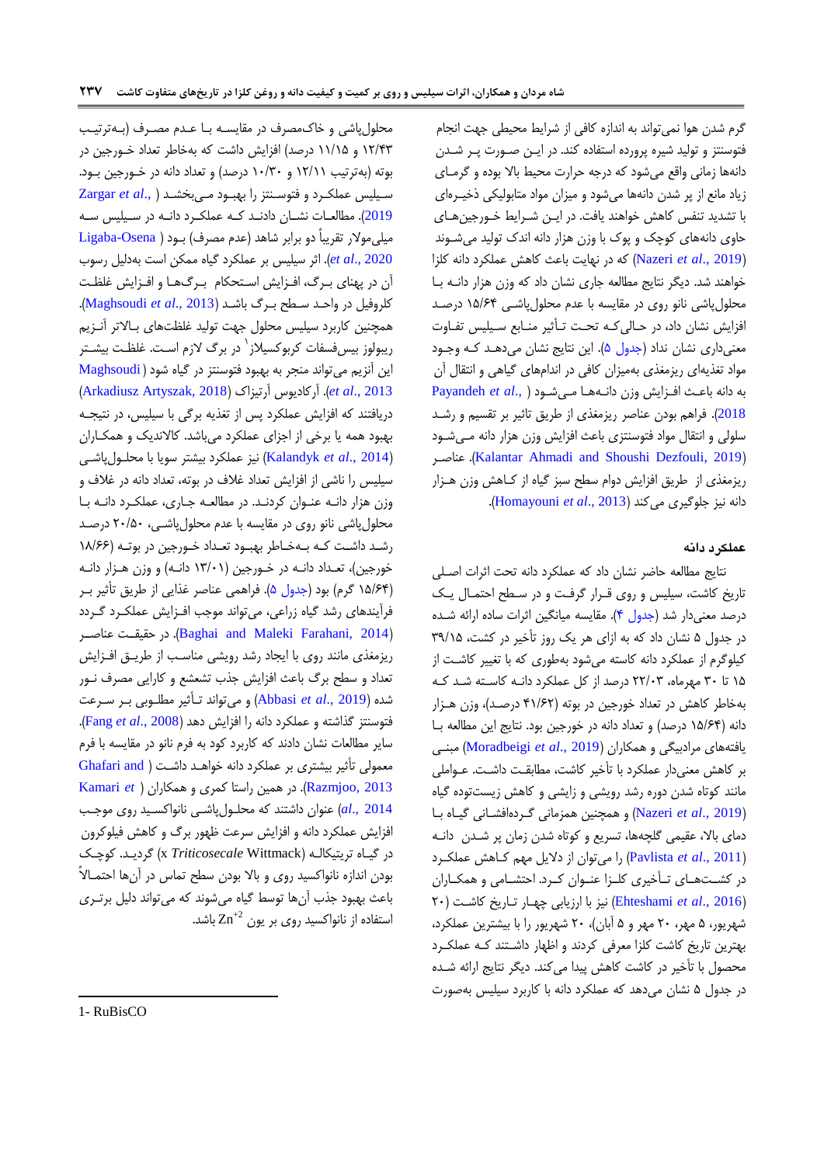گرم شدن هوا نمیتواند به اندازه کافی از شرایب محیطی جهت انجام فتوسنتز و تولید شیره پرورده استفاده کند. در ایهن صهورت پهر شهدن دانهها زمانی واقع میشود که درجه حرارت محیط بالا بوده و گرمـای زیاد مانع از پر شدن دانهها میشود و میزان مواد متابولیكی رخیهره ای با تشدید تنفس کاهش خواهند یافت. در این شرایط خورجین های حاوی دانههای کوچک و پوک با وزن هزار دانه اندک تولید میشهوند )2019 .,*al et* [Nazeri](#page-12-7) )که در نهایت باعش کاهش عملكرد دانه کلزا خواهند شد. دیگر نتایج مطالعه جاری نشان داد که وزن هزار دانهه بها محلول پاشی نانو روی در مقایسه با عدم محلول پاشی ۱۵/۶۴ درصد افزایش نشان داد، در حالی کـه تحـت تـأثیر منـابع سـیلیس تفـاوت معنیداری نشان نداد (جدول ۵). این نتایج نشان میدهد که وجود مواد تیذیهای ریزمیذی بهمیزان کافی در اندامهای گیاهی و انتقا آن به دانه باعهش افهزایش وزن دانهه هها مهی [شه](#page-13-11)ود ) .,*al et* [Payandeh](#page-13-11) [2018](#page-13-11)(. فراهم بودن عناصر ریزمیذی از طریق تاثیر بر تقسیم و رشهد سلولی و انتقال مواد فتوسنتزی باعث افزایش وزن هزار دانه مهیشود عناصهر .([Kalantar Ahmadi and Shoushi Dezfouli, 2019](#page-12-10)( ریزمیذی از طریق افزایش دوام سطح سبز گیاه از کهاهش وزن ههزار دانه نیز جلوگیری میکند )2013 .,*al et* [Homayouni](#page-12-11)).

## **عملکرد دانه**

نتایج مطالعه حاضر نشان داد که عملكرد دانه تحت اثرات اصهلی تاریخ کاشت، سیلیس و روی قـرار گرفـت و در سـطح احتمـال یـک درصد معنی دار شد (جدول ۴). مقایسه میانگین اثرات ساده ارائه شده در جدول ۵ نشان داد که به ازای هر یک روز تأخیر در کشت، ۳۹/۱۵ کیلوگرم از عملكرد دانه کاسته میشود بهطوری که با تیییر کاشهت از 11 تا 98 مهرماه، 11/89 درصد از کل عملكرد دانهه کاسهته شهد کهه بهخاطر کاهش در تعداد خورجین در بوته )01/11 درصهد(، وزن ههزار دانه (۱۵/۶۴ درصد) و تعداد دانه در خورجین بود. نتایج این مطالعه با یافتههای مرادبیگی و همكاران )2019 .,*al et* [Moradbeigi](#page-12-8) )مبنهی بر کاهش معنیدار عملكرد با تأخیر كاشت، مطابقت داشت. عـواملی مانند کوتاه شدن دوره رشد رویشی و زایشی و کاهش زیستتوده گیاه )2019 .,*al et* [Nazeri](#page-12-7) )و همچنین همزمانی گهرده افشهانی گیهاه بها دمای بالا، عقیمی گلچهها، تسریع و کوتاه شدن زمان پر شدن دانـه )2011 .,*al et* [Pavlista](#page-13-14) )را میتوان از دالیل مهم کهاهش عملكهرد در کشـتهـای تـأخیری کلـزا عنـوان کـرد. احتشـامی و همکـاران )2016 .,*al et* [Ehteshami](#page-11-9) )نیز با ارزیابی چههار تهاریخ کاشهت ) 18 شهریور، 1 مهر، 18 مهر و 1 آبان(، 18 شهریور را با بیشترین عملكرد، بهترین تاریخ کاشت کلزا معرفی کردند و اظهار داشتند کـه عملكـرد محصول با تأخیر در کاشت کاهش پیدا میکند. دیگر نتایج ارائه شـده در جدول ۵ نشان میدهد که عملکرد دانه با کاربرد سیلیس بهصورت

محلول پاشی و خاک مصرف در مقایسـه بـا عـدم مصـرف (بـهترتیـب ۱۲/۴۳ و ۱۱/۱۵ درصد) افزایش داشت که بهخاطر تعداد خــورجین در بوته (بهترتیب ۱۲/۱۱ و ۱۰/۳۰ درصد) و تعداد دانه در خـورجین بـود. سهیلی عملكهرد و فتوسهنتز را بهبهود مهی ب[خش](#page-13-5)هد ) .,*al et* [Zargar](#page-13-5) [2019](#page-13-5)). مطالعات نشـان دادنـد کـه عملکـرد دانـه در سـيليس سـه میلی مولار تقریباً دو برابر شاهد (عدم مصرف) بـود ( Ligaba-Osena et al., 2020). اثر سیلیس بر عملكرد گیاه ممكن است بهدلیل رسوب آن در پهنای بـرگ، افـزایش اسـتحكام بـرگ&ا و افـزایش غلظـت کلروفیل در واحهد سهطح بهر، باشهد ) 2013 .,*al et* [Maghsoudi](#page-12-12)). همچنین کاربرد سیلیس محلول جهت تولید غلظتهای بالاتر آنـزیم ریبولوز بیسفسفات کربوکسیلاز<sup>٬</sup> در برگ لازم اسـت. غلظـت بیشـتر این آنزیم میتواند منجر به بهبود فتوسنتز در گیاه شود [\)](#page-12-12) [Maghsoudi](#page-12-12) )[Arkadiusz Artyszak,](#page-11-3) 2018( آرتیزاک آرکادیوس .(*et al*[., 2013](#page-12-12) دریافتند که افزایش عملکرد پس از تغذیه برگی با سیلیس، در نتیجـه بهبود همه یا برخی از اجزای عملكرد میباشد. کاالندیک و همكهاران )2014 .,*al et* [Kalandyk](#page-12-13) )نیز عملكرد بیشتر سویا با محلهو پاشهی سیلیس را ناشی از افزایش تعداد غلاف در بوته، تعداد دانه در غلاف و وزن هزار دانه عنوان کردند. در مطالعه جاری، عملكرد دانه با محلول پاشی نانو روی در مقایسه با عدم محلول پاشی، ۲۰/۵۰ درصد رشد داشت که بهخاطر بهبود تعداد خورجین در بوته (۱۸/۶۶ خورجین)، تعـداد دانـه در خـورجین (۱۳/۰۱ دانـه) و وزن هـزار دانـه (۱۵/۶۴ گرم) بود (جدول ۵). فراهمی عناصر غذایی از طریق تأثیر ب فرآیندهای رشد گیاه زراعی، میتواند موجب افهزایش عملكهرد گهردد عناصـر ([Baghai and Maleki Farahani, 2014](#page-11-10)). در حقیقـت عناصـر ریزمیذی مانند روی با ایجاد رشد رویشی مناسهب از طریهق افهزایش تعداد و سطح برگ باعث افزایش جذب تشعشع و کارایی مصرف نـور شده )2019 .,*al et* [Abbasi](#page-11-11) )و میتواند تهأثیر مطلهوبی بهر سهرعت فتوسنتز گذاشته و عملكرد دانه را افزایش دهد )[2008 .,](#page-12-14)*al et* Fang). سایر مطالعات نشان دادند که کاربرد کود به فرم نانو در مقایسه با فرم معمولی تأثیر بیشتری بر عملكرد دانه خواهد داش[ت](#page-12-15) ( Ghafari and [2013 ,Razmjoo](#page-12-15)). در همین راستا کمری و همكاران [\)](#page-12-16) *et* [Kamari](#page-12-16) [2014 .,](#page-12-16)*al* )عنوان داشتند که محلهو پاشهی نانواکسهید روی موجهب افزایش عملكرد دانه و افزایش سرعت ظهور برگ و كاهش فیلوكرون در گیهاه تریتیكالهه )Wittmack *Triticosecale* x )گردیهد. کوچهک بودن اندازه نانواکسید روی و باال بودن سطح تماس در آنها احتمهاالً باعث بهبود جذب آنها توسط گیاه میشوند که میتواند دلیل برتـری استفاده از نانواکسید روی بر یون  $\mathrm{Zn}^{+2}$  باشد.

1

<sup>1-</sup> RuBisCO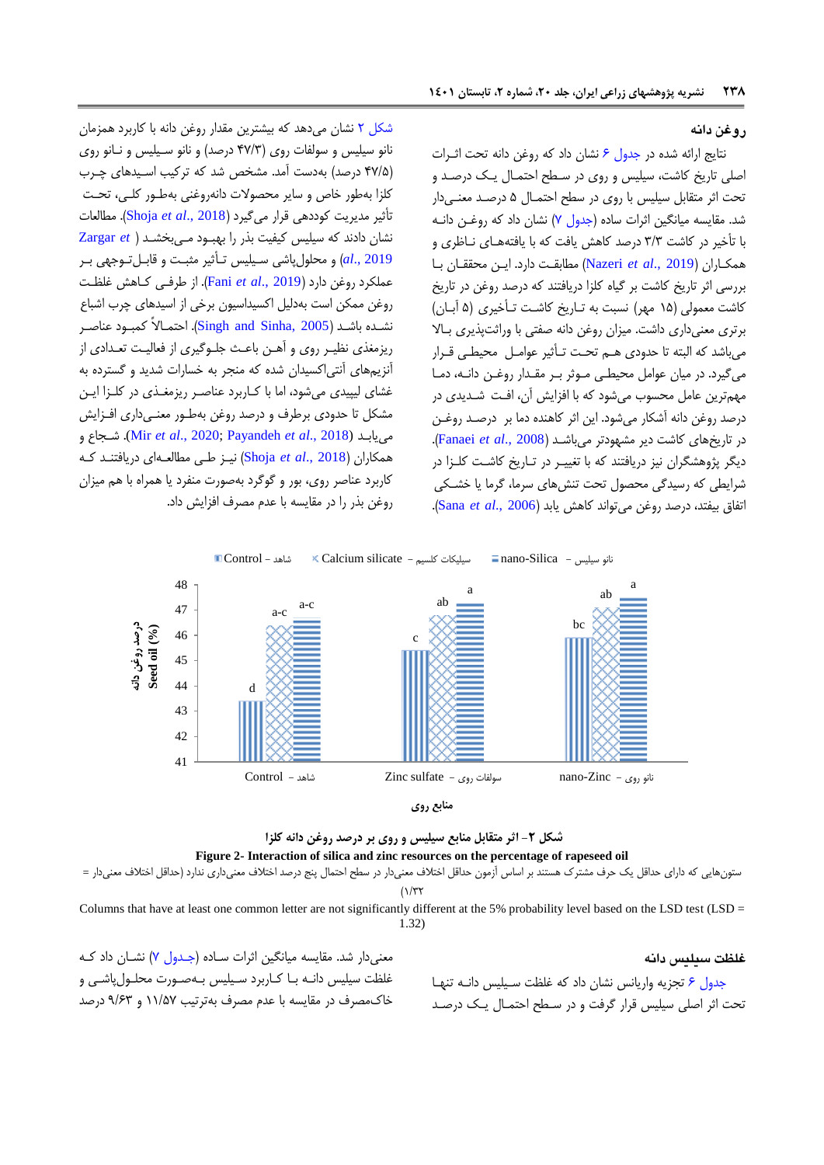## **روغن دانه**

نتایج ارائه شده در جدول ۶ نشان داد که روغن دانه تحت اثـرات اصلی تاریخ کاشت، سیلیس و روی در سطح احتمـال یـک درصـد و تحت اثر متقابل سیلی با روی در سطح احتمها 1 درصهد معنهی دار شد. مقایسه میانگین اثرات ساده (جدول ۷) نشان داد که روغـن دانـه با تأخیر در کاشت 9/9 درصد کاهش یافت که با یافتهههای نهازری و همكهاران ) 2019 .,*al et* [Nazeri](#page-12-7) )مطابقهت دارد. ایهن محققهان بها بررسی اثر تاریخ کاشت بر گیاه کلزا دریافتند که درصد روغن در تاریخ کاشت معمولی (۱۵ مهر) نسبت به تـاریخ کاشـت تـأخیری (۵ آبــان) برتری معنیداری داشت. میزان روغن دانه صفتی با وراثتپذیری بهاال میباشد که البته تا حدودی ههم تحهت تهأثیر عوامهل محیطهی قهرار میگیرد. در میان عوامل محیطهی مهوثر بهر مقهدار روغهن دانهه، دمها مهم ترین عامل محسوب میشود که با افزایش آن، افت شدیدی در درصد روغن دانه آشكار میشود. این اثر کاهنده دما بر درصهد روغهن در تاریخهای کاشت دیر مشهودتر میباشهد )2008 .,*al et* [Fanaei](#page-11-12)). دیگر پژوهشگران نیز دریافتند که با تغییـر در تـاریخ کاشـت کلـزا در شرایطی که رسیدگی محصول تحت تنش های سرما، گرما یا خشـکی اتفاق بیفتد، درصد روغن میتواند کاهش یابد )[2006 .,](#page-13-15)*al et* Sana).

[شكل 1](#page-9-0) نشان میدهد که بیشترین مقدار روغن دانه با کاربرد همزمان نانو سیلیس و سولفات روی (۴۷/۳ درصد) و نانو سهیلیس و نانو روی (۴۷/۵ درصد) بهدست آمد. مشخص شد که ترکیب اسیدهای چـرب کلزا بهطور خاص و سایر محصوالت دانهروغنی بهطهور کلهی، تحهت تأثیر مدیریت کوددهی قرار میگیرد )[2018 .,](#page-13-16)*al et* Shoja). مطالعات نشان دادند که سیلی کیفیت بذر را بهبهود مهی بخش[هد](#page-13-5) ) *et* [Zargar](#page-13-5) [2019 .,](#page-13-5)*al* )و محلو پاشی سهیلی تهأثیر مثبهت و قابهل تهوجهی بهر عملكرد روغن دارد )[2019 .,](#page-12-9)*al et* Fani). از طرفهی کهاهش غلظهت روغن ممكن است بهدلیل اکسیداسیون برخی از اسیدهای چر اشباع نشهده باشهد ) [2005 ,Sinha and Singh](#page-13-17)). احتمهاالً کمبهود عناصهر ریزمغذی نظیـر روی و آهـن باعـث جلـوگیری از فعالیـت تعـدادی از آنزیمهای آنتیاکسیدان شده که منجر به خسارات شدید و گسترده به غشای لیپیدی میشود، اما با کهاربرد عناصهر ریزمیهذی در کلهزا ایهن مشكل تا حدودی برطرف و درصد روغن بهطهور معنهی داری افهزایش و شهجاع .)Mir *et al*[., 2020;](#page-12-17) [Payandeh](#page-13-11) *et al*., 2018) مییابهد همكاران )[2018 .,](#page-13-16)*al et* Shoja )نیهز طهی مطالعهه ای دریافتنهد کهه کاربرد عناصر روی، بور و گوگرد بهصورت منفرد یا همراه با هم میزان روغن بذر را در مقایسه با عدم مصرف افزایش داد.



<span id="page-9-0"></span>**منابع روی**



ستونهایی که دارای حداقل یک حرف مشترک هستند بر اساس آزمون حداقل اختلاف معنیدار در سطح احتمال پنج درصد اختلاف معنیداری ندارد (حداقل اختلاف معنیدار =  $(1/\tau)$ 

Columns that have at least one common letter are not significantly different at the 5% probability level based on the LSD test (LSD = 1.32)

**غلظت سیلیس دانه**

معنیدار شد. مقایسه میانگین اثرات ساده (جهدول ۷) نشان داد که غلظت سیلیس دانـه بـا کـاربرد سـیلیس بـهصـورت محلـولeیاشـی و خاکمصرف در مقایسه با عدم مصرف بهترتیب 11/19 و 7/19 درصد

جدول ۶ تجزیه واریانس نشان داد که غلظت سیلیس دانـه تنهـا تحت اثر اصلی سیلیس قرار گرفت و در سـطح احتمـال یـک درصـد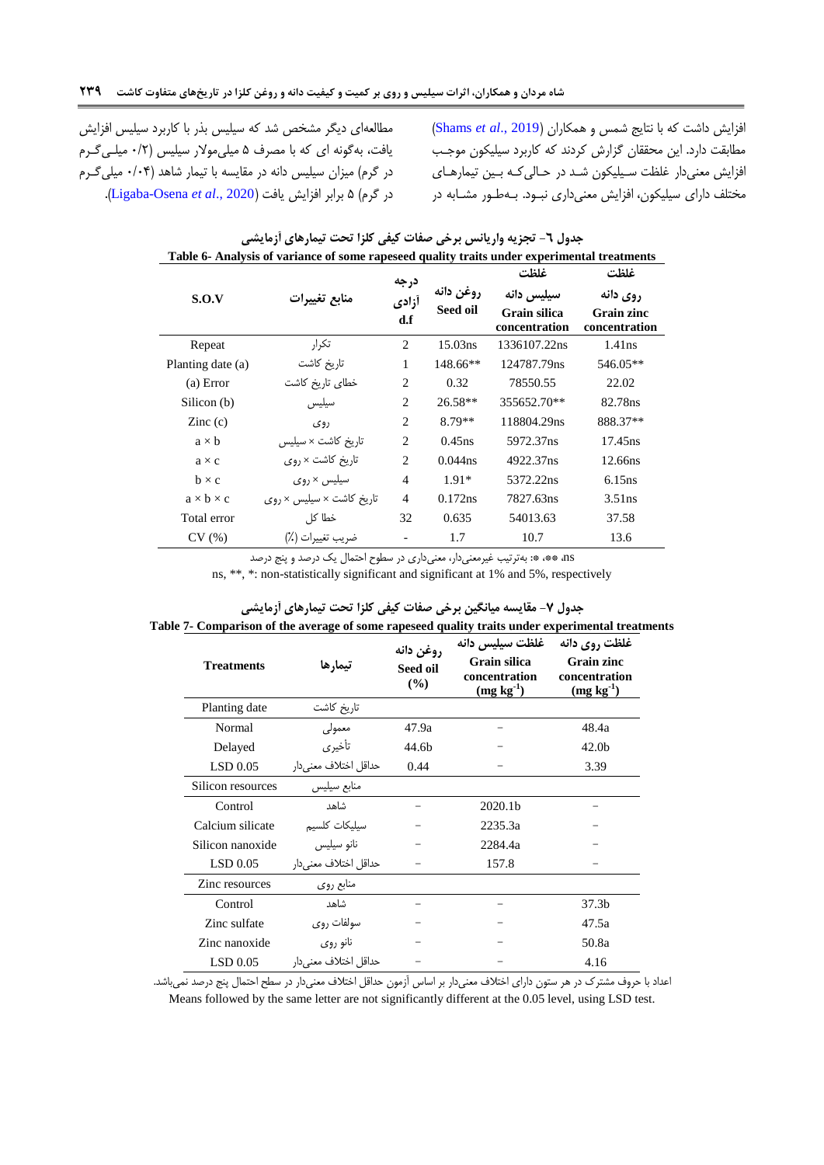مطالعهای دیگر مشخص شد که سیلیس بذر با کاربرد سیلیس افزایش یافت، بهگونه ای که با مصرف ۵ میلی مولار سیلیس (۰/۲ میلهی گرم در گرم) میزان سیلیس دانه در مقایسه با تیمار شاهد (۰/۴ میلی گرم در گرم( 1 برابر افزایش یافت )2020 .,*al et* [Osena-Ligaba](#page-12-2)).

<span id="page-10-0"></span>افزایش داشت که با نتایج شمس و همکاران (Shams et al., 2019) مطابقت دارد. این محققان گزارش کردند که کاربرد سیلیكون موجهب افزایش معنیدار غلظت سهیلیكون شهد در حهالی کهه بهین تیمارههای مختلف دارای سیلیكون، افزایش معنیداری نبهود. بهه طهور مشهابه در

|                       | таже о тапатумы от татланее от вонне гаревсей quanty trans unuer ехрегинения сгейниения |                      |                       | غلظت                                        | غلظت                                    |
|-----------------------|-----------------------------------------------------------------------------------------|----------------------|-----------------------|---------------------------------------------|-----------------------------------------|
| S.O.V                 | منابع تغييرات                                                                           | درجه<br>أزادي<br>d.f | روغن دانه<br>Seed oil | سيليس دانه<br>Grain silica<br>concentration | روی دانه<br>Grain zinc<br>concentration |
| Repeat                | تكرار                                                                                   | 2                    | 15.03ns               | 1336107.22ns                                | 1.41ns                                  |
| Planting date (a)     | تاریخ کاشت                                                                              | 1                    | 148.66**              | 124787.79ns                                 | 546.05**                                |
| (a) Error             | خطاى تاريخ كاشت                                                                         | 2                    | 0.32                  | 78550.55                                    | 22.02                                   |
| Silicon (b)           | سيليس                                                                                   | $\overline{2}$       | $26.58**$             | 355652.70**                                 | 82.78ns                                 |
| $\text{Zinc}$ (c)     | روی                                                                                     | $\overline{2}$       | 8.79**                | 118804.29ns                                 | 888.37**                                |
| $a \times b$          | تاریخ کاشت × سیلیس                                                                      | $\overline{c}$       | $0.45$ ns             | 5972.37ns                                   | 17.45ns                                 |
| $a \times c$          | تاریخ کاشت × روی                                                                        | 2                    | $0.044$ ns            | 4922.37ns                                   | 12.66ns                                 |
| $b \times c$          | سیلیس × روی                                                                             | $\overline{4}$       | $1.91*$               | 5372.22ns                                   | 6.15ns                                  |
| $a \times b \times c$ | تاریخ کاشت × سیلیس × روی                                                                | $\overline{4}$       | 0.172ns               | 7827.63ns                                   | $3.51$ ns                               |
| Total error           | خطا کل                                                                                  | 32                   | 0.635                 | 54013.63                                    | 37.58                                   |
| CV(%)                 | ضريب تغييرات (٪)                                                                        |                      | 1.7                   | 10.7                                        | 13.6                                    |

| جدول ٦- تجزيه واريانس برخي صفات كيفي كلزا تحت تيمارهاي أزمايشي                              |
|---------------------------------------------------------------------------------------------|
| Table 6- Analysis of variance of some rapeseed quality traits under experimental treatments |

<span id="page-10-1"></span>ns، \*\*، \*: بهترتیب غیرمعنیدار، معنیداری در سطوح احتمال یک درصد و پنج درصد

ns, \*\*, \*: non-statistically significant and significant at 1% and 5%, respectively

| <b>Treatments</b> | تيمارها               | روغن دانه<br>Seed oil<br>(%) | غلظت سيليس دانه<br>Grain silica<br>concentration<br>$(mg kg-1)$ | غلظت روي دانه<br>Grain zinc<br>concentration<br>$(mg kg-1)$ |
|-------------------|-----------------------|------------------------------|-----------------------------------------------------------------|-------------------------------------------------------------|
| Planting date     | تاريخ كاشت            |                              |                                                                 |                                                             |
| Normal            | معمولى                | 47.9a                        |                                                                 | 48.4a                                                       |
| Delayed           | تأخيري                | 44.6 <sub>h</sub>            |                                                                 | 42.0 <sub>b</sub>                                           |
| LSD 0.05          | حداقل اختلاف معنىدار  | 0.44                         |                                                                 | 3.39                                                        |
| Silicon resources | منابع سيليس           |                              |                                                                 |                                                             |
| Control           | شاهد                  |                              | 2020.1b                                                         |                                                             |
| Calcium silicate  | سيليكات كلسيم         |                              | 2235.3a                                                         |                                                             |
| Silicon nanoxide  | نانو سيليس            |                              | 2284.4a                                                         |                                                             |
| LSD 0.05          | حداقل اختلاف معنىدار  |                              | 157.8                                                           |                                                             |
| Zinc resources    | منابع روى             |                              |                                                                 |                                                             |
| Control           | شاهد                  |                              |                                                                 | 37.3 <sub>b</sub>                                           |
| Zinc sulfate      | سولفات روى            |                              |                                                                 | 47.5a                                                       |
| Zinc nanoxide     | نانو روی              |                              |                                                                 | 50.8a                                                       |
| LSD 0.05          | حداقل اختلاف معنى دار |                              |                                                                 | 4.16                                                        |

## **جدول -7 مقایسه میانگین برخی صفات کیفی کلزا تحت تیمارهای آزمایشی Table 7- Comparison of the average of some rapeseed quality traits under experimental treatments**

اعداد با حروف مشترک در هر ستون دارای اختلاف معنیدار بر اساس آزمون حداقل اختلاف معنیدار در سطح احتمال پنج درصد نمیباشد. Means followed by the same letter are not significantly different at the 0.05 level, using LSD test.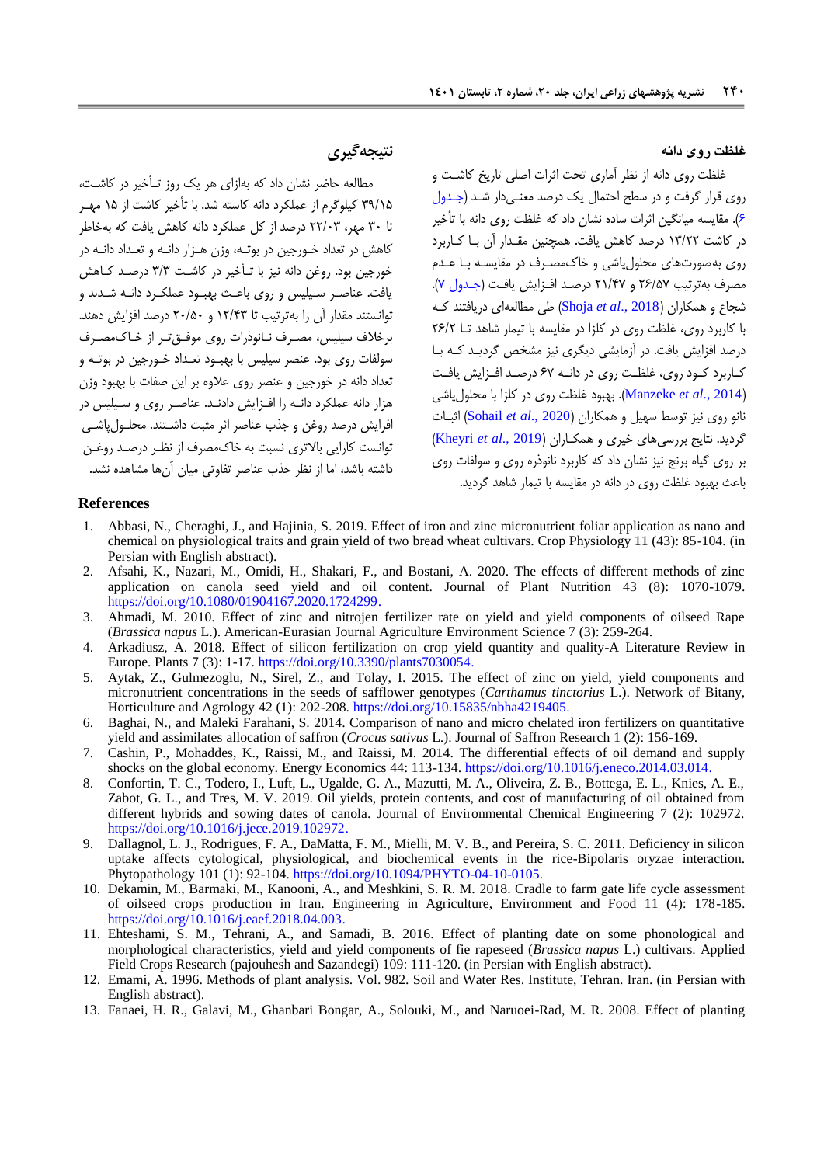### **غلظت روی دانه**

غلظت روی دانه از نظر آماری تحت اثرات اصلی تاریخ کاشهت و روی قرار گرفت و در سطح احتمال یک درصد معنمیدار شد (جدول [1\(](#page-10-0). مقایسه میانگین اثرات ساده نشان داد که غلظت روی دانه با تأخیر در کاشت 19/11 درصد کاهش یافت. همچنین مقهدار آن بها کهاربرد روی بهصورتهای محلو پاشی و خاکمصهرف در مقایسهه بها عهدم مصرف بهترتیب ۲۶/۵۷ و ۲۱/۴۷ درصد افزایش یافت (جدول ۷). شجاع و همكاران )[2018 .,](#page-13-16)*al et* Shoja )طی مطالعهای دریافتند کهه با کاربرد روی، غلظت روی در کلزا در مقایسه با تیمار شاهد تها 11/1 درصد افزایش یافت. در آزمایشی دیگری نیز مشخص گردیهد کهه بها کهاربرد کهود روی، غلظهت روی در دانهه 19 درصهد افهزایش یافهت )2014 .,*al et* [Manzeke](#page-12-18)). بهبود غلظت روی در کلزا با محلو پاشی نانو روی نیز توسط سهیل و همكاران (Sohail *et al.,* 2020) اثبـات گردید. نتایج بررسیهای خیری و همكهاران ) 2019 .,*al et* [Kheyri](#page-12-19) ) بر روی گیاه برنج نیز نشان داد که کاربرد نانورره روی و سولفات روی باعش بهبود غلظت روی در دانه در مقایسه با تیمار شاهد گردید.

## **نتیجهگیری**

مطالعه حاضر نشان داد که بهازای هر یک روز تهأخیر در کاشهت، 97/11 کیلوگرم از عملكرد دانه کاسته شد. با تأخیر کاشت از 11 مههر تا 98 مهر، 11/89 درصد از کل عملكرد دانه کاهش یافت که بهخاطر کاهش در تعداد خـورجین در بوتـه، وزن هـزار دانـه و تعـداد دانـه در خورجین بود. روغن دانه نیز با تـأخیر در کاشـت ۳/۳ درصـد کــاهش یافت. عناصر سیلیس و روی باعث بهبود عملكرد دانـه شـدند و توانستند مقدار آن را بهترتیب تا 11/09 و 18/18 درصد افزایش دهند. برخلاف سیلیس، مصرف نـانوذرات روی موفـق تـر از خـاک،مصـرف سولفات روی بود. عنصر سیلی با بهبهود تعهداد خهورجین در بوتهه و تعداد دانه در خورجین و عنصر روی عالوه بر این صفات با بهبود وزن هزار دانه عملكرد دانـه را افـزایش دادنـد. عناصـر روی و سـیلیس در افزایش درصد روغن و جذب عناصر اثر مثبت داشـتند. محلـول ٍاشــ ، توانست کارایی باالتری نسبت به خاکمصرف از نظهر درصهد روغهن داشته باشد، اما از نظر جذب عناصر تفاوتی میان آنها مشاهده نشد.

#### **References**

- <span id="page-11-11"></span>1. Abbasi, N., Cheraghi, J., and Hajinia, S. 2019. Effect of iron and zinc micronutrient foliar application as nano and chemical on physiological traits and grain yield of two bread wheat cultivars. Crop Physiology 11 (43): 85-104. (in Persian with English abstract).
- <span id="page-11-5"></span>2. Afsahi, K., Nazari, M., Omidi, H., Shakari, F., and Bostani, A. 2020. The effects of different methods of zinc application on canola seed yield and oil content. Journal of Plant Nutrition 43 (8): 1070-1079. [https://doi.org/10.1080/01904167.2020.1724299.](https://doi.org/10.1080/01904167.2020.1724299)
- <span id="page-11-8"></span>3. Ahmadi, M. 2010. Effect of zinc and nitrojen fertilizer rate on yield and yield components of oilseed Rape (*Brassica napus* L.). American-Eurasian Journal Agriculture Environment Science 7 (3): 259-264.
- <span id="page-11-3"></span>4. Arkadiusz, A. 2018. Effect of silicon fertilization on crop yield quantity and quality-A Literature Review in Europe. Plants 7 (3): 1-17. [https://doi.org/10.3390/plants7030054.](https://doi.org/10.3390/plants7030054)
- <span id="page-11-4"></span>5. Aytak, Z., Gulmezoglu, N., Sirel, Z., and Tolay, I. 2015. The effect of zinc on yield, yield components and micronutrient concentrations in the seeds of safflower genotypes (*Carthamus tinctorius* L.). Network of Bitany, Horticulture and Agrology 42 (1): 202-208. [https://doi.org/10.15835/nbha4219405.](https://doi.org/10.15835/nbha4219405)
- <span id="page-11-10"></span>6. Baghai, N., and Maleki Farahani, S. 2014. Comparison of nano and micro chelated iron fertilizers on quantitative yield and assimilates allocation of saffron (*Crocus sativus* L.). Journal of Saffron Research 1 (2): 156-169.
- <span id="page-11-1"></span>7. Cashin, P., Mohaddes, K., Raissi, M., and Raissi, M. 2014. The differential effects of oil demand and supply shocks on the global economy. Energy Economics 44: 113-134. [https://doi.org/10.1016/j.eneco.2014.03.014.](https://doi.org/10.1016/j.eneco.2014.03.014)
- <span id="page-11-2"></span>8. Confortin, T. C., Todero, I., Luft, L., Ugalde, G. A., Mazutti, M. A., Oliveira, Z. B., Bottega, E. L., Knies, A. E., Zabot, G. L., and Tres, M. V. 2019. Oil yields, protein contents, and cost of manufacturing of oil obtained from different hybrids and sowing dates of canola. Journal of Environmental Chemical Engineering 7 (2): 102972. [https://doi.org/10.1016/j.jece.2019.102972.](https://doi.org/10.1016/j.jece.2019.102972)
- <span id="page-11-6"></span>9. Dallagnol, L. J., Rodrigues, F. A., DaMatta, F. M., Mielli, M. V. B., and Pereira, S. C. 2011. Deficiency in silicon uptake affects cytological, physiological, and biochemical events in the rice-Bipolaris oryzae interaction. Phytopathology 101 (1): 92-104. [https://doi.org/10.1094/PHYTO-04-10-0105.](https://doi.org/10.1094/PHYTO-04-10-0105)
- <span id="page-11-0"></span>10. Dekamin, M., Barmaki, M., Kanooni, A., and Meshkini, S. R. M. 2018. Cradle to farm gate life cycle assessment of oilseed crops production in Iran. Engineering in Agriculture, Environment and Food 11 (4): 178-185. [https://doi.org/10.1016/j.eaef.2018.04.003.](https://doi.org/10.1016/j.eaef.2018.04.003)
- <span id="page-11-9"></span>11. Ehteshami, S. M., Tehrani, A., and Samadi, B. 2016. Effect of planting date on some phonological and morphological characteristics, yield and yield components of fie rapeseed (*Brassica napus* L.) cultivars. Applied Field Crops Research (pajouhesh and Sazandegi) 109: 111-120. (in Persian with English abstract).
- <span id="page-11-7"></span>12. Emami, A. 1996. Methods of plant analysis. Vol. 982. Soil and Water Res. Institute, Tehran. Iran. (in Persian with English abstract).
- <span id="page-11-12"></span>13. Fanaei, H. R., Galavi, M., Ghanbari Bongar, A., Solouki, M., and Naruoei-Rad, M. R. 2008. Effect of planting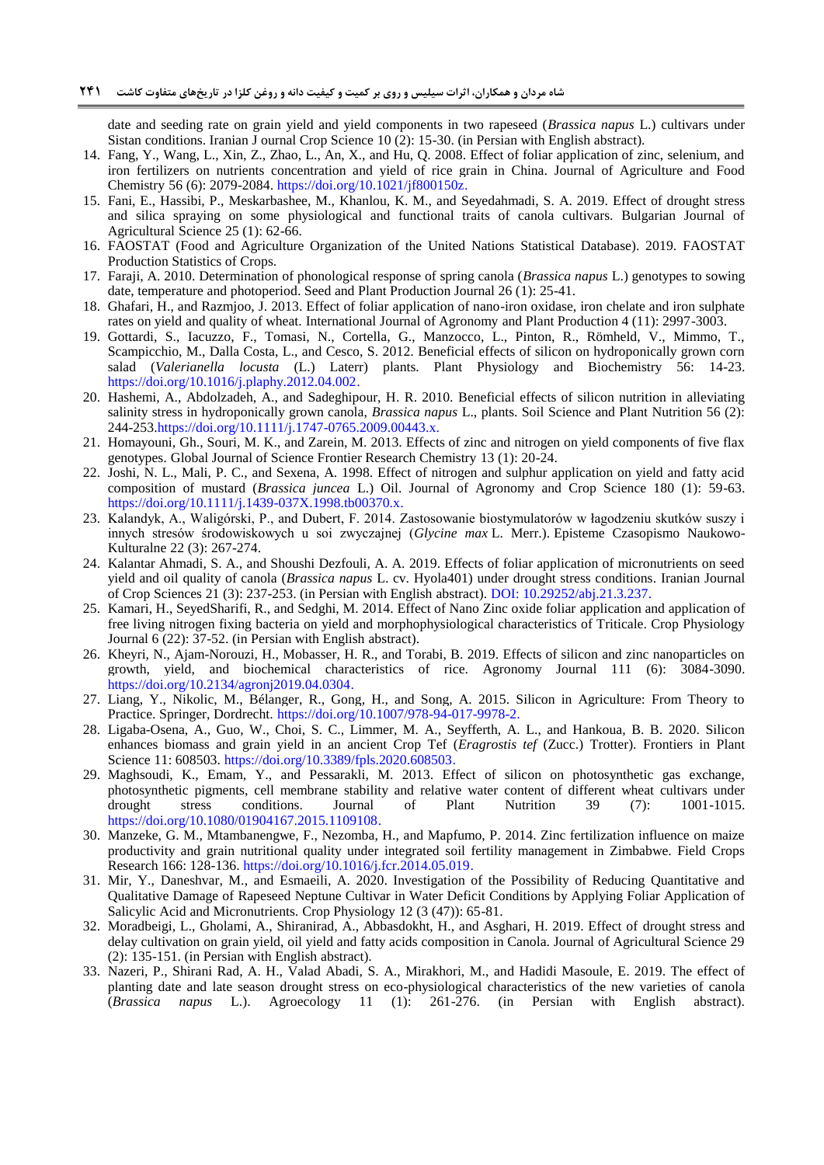date and seeding rate on grain yield and yield components in two rapeseed (*Brassica napus* L.) cultivars under Sistan conditions. Iranian J ournal Crop Science 10 (2): 15-30. (in Persian with English abstract).

- <span id="page-12-14"></span>14. Fang, Y., Wang, L., Xin, Z., Zhao, L., An, X., and Hu, Q. 2008. Effect of foliar application of zinc, selenium, and iron fertilizers on nutrients concentration and yield of rice grain in China. Journal of Agriculture and Food Chemistry 56 (6): 2079-2084. [https://doi.org/10.1021/jf800150z.](https://doi.org/10.1021/jf800150z)
- <span id="page-12-9"></span>15. Fani, E., Hassibi, P., Meskarbashee, M., Khanlou, K. M., and Seyedahmadi, S. A. 2019. Effect of drought stress and silica spraying on some physiological and functional traits of canola cultivars. Bulgarian Journal of Agricultural Science 25 (1): 62-66.
- <span id="page-12-0"></span>16. FAOSTAT (Food and Agriculture Organization of the United Nations Statistical Database). 2019. FAOSTAT Production Statistics of Crops.
- <span id="page-12-1"></span>17. Faraji, A. 2010. Determination of phonological response of spring canola (*Brassica napus* L.) genotypes to sowing date, temperature and photoperiod. Seed and Plant Production Journal 26 (1): 25-41.
- <span id="page-12-15"></span>18. Ghafari, H., and Razmjoo, J. 2013. Effect of foliar application of nano-iron oxidase, iron chelate and iron sulphate rates on yield and quality of wheat. International Journal of Agronomy and Plant Production 4 (11): 2997-3003.
- <span id="page-12-4"></span>19. Gottardi, S., Iacuzzo, F., Tomasi, N., Cortella, G., Manzocco, L., Pinton, R., Römheld, V., Mimmo, T., Scampicchio, M., Dalla Costa, L., and Cesco, S. 2012. Beneficial effects of silicon on hydroponically grown corn salad (*Valerianella locusta* (L.) Laterr) plants. Plant Physiology and Biochemistry 56: 14-23. [https://doi.org/10.1016/j.plaphy.2012.04.002.](https://doi.org/10.1016/j.plaphy.2012.04.002)
- <span id="page-12-5"></span>20. Hashemi, A., Abdolzadeh, A., and Sadeghipour, H. R. 2010. Beneficial effects of silicon nutrition in alleviating salinity stress in hydroponically grown canola, *Brassica napus* L., plants. Soil Science and Plant Nutrition 56 (2): 244-253[.https://doi.org/10.1111/j.1747-0765.2009.00443.x.](https://doi.org/10.1111/j.1747-0765.2009.00443.x)
- <span id="page-12-11"></span>21. Homayouni, Gh., Souri, M. K., and Zarein, M. 2013. Effects of zinc and nitrogen on yield components of five flax genotypes. Global Journal of Science Frontier Research Chemistry 13 (1): 20-24.
- <span id="page-12-6"></span>22. Joshi, N. L., Mali, P. C., and Sexena, A. 1998. Effect of nitrogen and sulphur application on yield and fatty acid composition of mustard (*Brassica juncea* L.) Oil. Journal of Agronomy and Crop Science 180 (1): 59-63. [https://doi.org/10.1111/j.1439-037X.1998.tb00370.x.](https://doi.org/10.1111/j.1439-037X.1998.tb00370.x)
- <span id="page-12-13"></span>23. Kalandyk, A., Waligórski, P., and Dubert, F. 2014. Zastosowanie biostymulatorów w łagodzeniu skutków suszy i innych stresów środowiskowych u soi zwyczajnej (*Glycine max* L. Merr.). Episteme Czasopismo Naukowo-Kulturalne 22 (3): 267-274.
- <span id="page-12-10"></span>24. Kalantar Ahmadi, S. A., and Shoushi Dezfouli, A. A. 2019. Effects of foliar application of micronutrients on seed yield and oil quality of canola (*Brassica napus* L. cv. Hyola401) under drought stress conditions. Iranian Journal of Crop Sciences 21 (3): 237-253. (in Persian with English abstract). DOI: [10.29252/abj.21.3.237.](http://dx.doi.org/10.29252/abj.21.3.237)
- <span id="page-12-16"></span>25. Kamari, H., SeyedSharifi, R., and Sedghi, M. 2014. Effect of Nano Zinc oxide foliar application and application of free living nitrogen fixing bacteria on yield and morphophysiological characteristics of Triticale. Crop Physiology Journal 6 (22): 37-52. (in Persian with English abstract).
- <span id="page-12-19"></span>26. Kheyri, N., Ajam-Norouzi, H., Mobasser, H. R., and Torabi, B. 2019. Effects of silicon and zinc nanoparticles on growth, yield, and biochemical characteristics of rice. Agronomy Journal 111 (6): 3084-3090. [https://doi.org/10.2134/agronj2019.04.0304.](https://doi.org/10.2134/agronj2019.04.0304)
- <span id="page-12-3"></span>27. Liang, Y., Nikolic, M., Bélanger, R., Gong, H., and Song, A. 2015. Silicon in Agriculture: From Theory to Practice. Springer, Dordrecht. https://doi.org/10.1007/978-94-017-9978-2.
- <span id="page-12-2"></span>28. Ligaba-Osena, A., Guo, W., Choi, S. C., Limmer, M. A., Seyfferth, A. L., and Hankoua, B. B. 2020. Silicon enhances biomass and grain yield in an ancient Crop Tef (*Eragrostis tef* (Zucc.) Trotter). Frontiers in Plant Science 11: 608503. [https://doi.org/10.3389/fpls.2020.608503.](https://doi.org/10.3389/fpls.2020.608503)
- <span id="page-12-12"></span>29. Maghsoudi, K., Emam, Y., and Pessarakli, M. 2013. Effect of silicon on photosynthetic gas exchange, photosynthetic pigments, cell membrane stability and relative water content of different wheat cultivars under drought stress conditions. Journal of Plant Nutrition 39 (7): 1001-1015. [https://doi.org/10.1080/01904167.2015.1109108.](https://doi.org/10.1080/01904167.2015.1109108)
- <span id="page-12-18"></span>30. Manzeke, G. M., Mtambanengwe, F., Nezomba, H., and Mapfumo, P. 2014. Zinc fertilization influence on maize productivity and grain nutritional quality under integrated soil fertility management in Zimbabwe. Field Crops Research 166: 128-136. [https://doi.org/10.1016/j.fcr.2014.05.019.](https://doi.org/10.1016/j.fcr.2014.05.019)
- <span id="page-12-17"></span>31. Mir, Y., Daneshvar, M., and Esmaeili, A. 2020. Investigation of the Possibility of Reducing Quantitative and Qualitative Damage of Rapeseed Neptune Cultivar in Water Deficit Conditions by Applying Foliar Application of Salicylic Acid and Micronutrients. Crop Physiology 12 (3 (47)): 65-81.
- <span id="page-12-8"></span>32. Moradbeigi, L., Gholami, A., Shiranirad, A., Abbasdokht, H., and Asghari, H. 2019. Effect of drought stress and delay cultivation on grain yield, oil yield and fatty acids composition in Canola. Journal of Agricultural Science 29 (2): 135-151. (in Persian with English abstract).
- <span id="page-12-7"></span>33. Nazeri, P., Shirani Rad, A. H., Valad Abadi, S. A., Mirakhori, M., and Hadidi Masoule, E. 2019. The effect of planting date and late season drought stress on eco-physiological characteristics of the new varieties of canola (*Brassica napus* L.). Agroecology 11 (1): 261-276. (in Persian with English abstract).